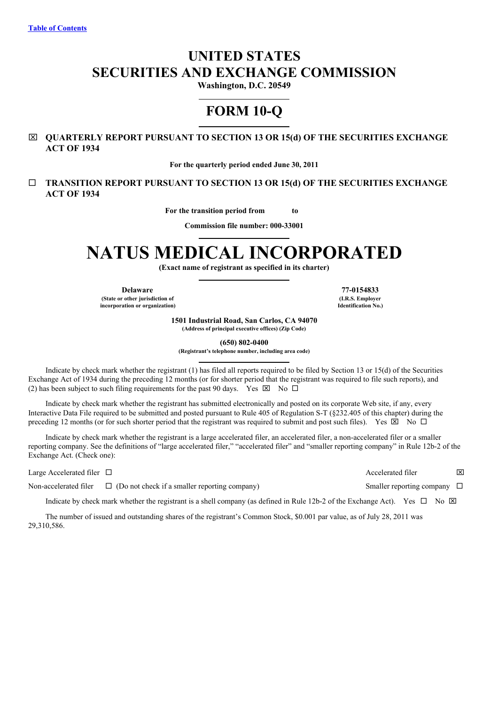# <span id="page-0-0"></span>**UNITED STATES SECURITIES AND EXCHANGE COMMISSION**

**Washington, D.C. 20549**

# **FORM 10-Q**

# x **QUARTERLY REPORT PURSUANT TO SECTION 13 OR 15(d) OF THE SECURITIES EXCHANGE ACT OF 1934**

**For the quarterly period ended June 30, 2011**

¨ **TRANSITION REPORT PURSUANT TO SECTION 13 OR 15(d) OF THE SECURITIES EXCHANGE ACT OF 1934**

**For the transition period from to**

**Commission file number: 000-33001**

# **NATUS MEDICAL INCORPORATED**

**(Exact name of registrant as specified in its charter)**

**Delaware 77-0154833 (State or other jurisdiction of incorporation or organization)**

**(I.R.S. Employer Identification No.)**

**1501 Industrial Road, San Carlos, CA 94070 (Address of principal executive offices) (Zip Code)**

**(650) 802-0400**

**(Registrant's telephone number, including area code)**

Indicate by check mark whether the registrant (1) has filed all reports required to be filed by Section 13 or 15(d) of the Securities Exchange Act of 1934 during the preceding 12 months (or for shorter period that the registrant was required to file such reports), and (2) has been subject to such filing requirements for the past 90 days. Yes  $\boxtimes$  No  $\Box$ 

Indicate by check mark whether the registrant has submitted electronically and posted on its corporate Web site, if any, every Interactive Data File required to be submitted and posted pursuant to Rule 405 of Regulation S-T (§232.405 of this chapter) during the preceding 12 months (or for such shorter period that the registrant was required to submit and post such files). Yes  $\boxtimes$  No  $\Box$ 

Indicate by check mark whether the registrant is a large accelerated filer, an accelerated filer, a non-accelerated filer or a smaller reporting company. See the definitions of "large accelerated filer," "accelerated filer" and "smaller reporting company" in Rule 12b-2 of the Exchange Act. (Check one):

Large Accelerated filer  $\Box$ Non-accelerated filer  $\Box$  (Do not check if a smaller reporting company) Smaller reporting company  $\Box$ 

Indicate by check mark whether the registrant is a shell company (as defined in Rule 12b-2 of the Exchange Act). Yes  $\Box$  No  $\boxtimes$ 

The number of issued and outstanding shares of the registrant's Common Stock, \$0.001 par value, as of July 28, 2011 was 29,310,586.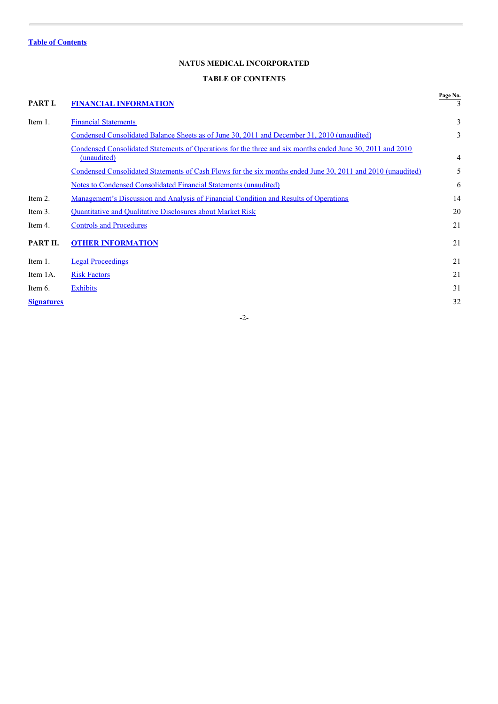# **NATUS MEDICAL INCORPORATED**

# **TABLE OF CONTENTS**

| PART I.           | <b>FINANCIAL INFORMATION</b>                                                                                             | Page No. |
|-------------------|--------------------------------------------------------------------------------------------------------------------------|----------|
| Item 1.           | <b>Financial Statements</b>                                                                                              | 3        |
|                   | Condensed Consolidated Balance Sheets as of June 30, 2011 and December 31, 2010 (unaudited)                              | 3        |
|                   | Condensed Consolidated Statements of Operations for the three and six months ended June 30, 2011 and 2010<br>(unaudited) | 4        |
|                   | Condensed Consolidated Statements of Cash Flows for the six months ended June 30, 2011 and 2010 (unaudited)              | 5        |
|                   | <b>Notes to Condensed Consolidated Financial Statements (unaudited)</b>                                                  | 6        |
| Item 2.           | Management's Discussion and Analysis of Financial Condition and Results of Operations                                    | 14       |
| Item 3.           | <b>Quantitative and Qualitative Disclosures about Market Risk</b>                                                        | 20       |
| Item 4.           | <b>Controls and Procedures</b>                                                                                           | 21       |
| PART II.          | <b>OTHER INFORMATION</b>                                                                                                 | 21       |
| Item 1.           | <b>Legal Proceedings</b>                                                                                                 | 21       |
| Item 1A.          | <b>Risk Factors</b>                                                                                                      | 21       |
| Item 6.           | <b>Exhibits</b>                                                                                                          | 31       |
| <b>Signatures</b> |                                                                                                                          | 32       |

-2-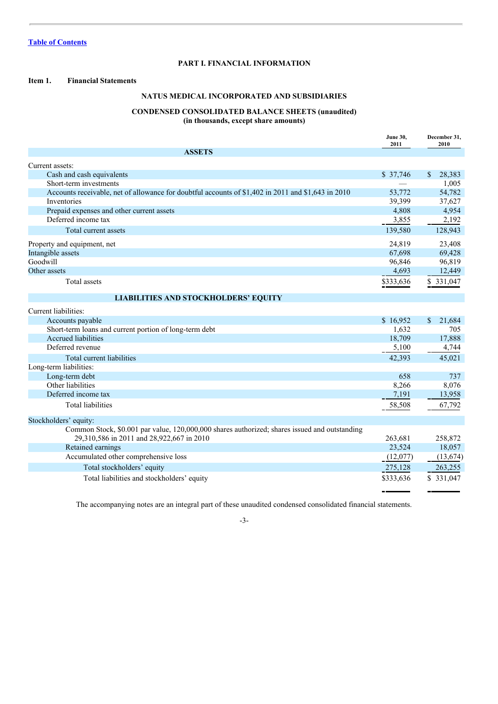## **PART I. FINANCIAL INFORMATION**

# **Item 1. Financial Statements**

# **NATUS MEDICAL INCORPORATED AND SUBSIDIARIES**

# **CONDENSED CONSOLIDATED BALANCE SHEETS (unaudited)**

**(in thousands, except share amounts)**

|                                                                                                                        | June 30,<br>2011 | December 31,<br>2010   |
|------------------------------------------------------------------------------------------------------------------------|------------------|------------------------|
| <b>ASSETS</b>                                                                                                          |                  |                        |
| Current assets:                                                                                                        |                  |                        |
| Cash and cash equivalents                                                                                              | \$37,746         | $\mathbb{S}$<br>28,383 |
| Short-term investments                                                                                                 |                  | 1,005                  |
| Accounts receivable, net of allowance for doubtful accounts of \$1,402 in 2011 and \$1,643 in 2010                     | 53,772           | 54,782                 |
| Inventories                                                                                                            | 39,399           | 37,627                 |
| Prepaid expenses and other current assets                                                                              | 4,808            | 4,954                  |
| Deferred income tax                                                                                                    | 3,855            | 2,192                  |
| Total current assets                                                                                                   | 139,580          | 128,943                |
| Property and equipment, net                                                                                            | 24,819           | 23,408                 |
| Intangible assets                                                                                                      | 67,698           | 69,428                 |
| Goodwill                                                                                                               | 96,846           | 96,819                 |
| Other assets                                                                                                           | 4,693            | 12,449                 |
| Total assets                                                                                                           | \$333,636        | \$ 331,047             |
| <b>LIABILITIES AND STOCKHOLDERS' EQUITY</b>                                                                            |                  |                        |
|                                                                                                                        |                  |                        |
| Current liabilities:<br>Accounts payable                                                                               | \$16,952         | $\mathbb{S}$<br>21,684 |
| Short-term loans and current portion of long-term debt                                                                 | 1,632            | 705                    |
| <b>Accrued liabilities</b>                                                                                             | 18,709           | 17,888                 |
| Deferred revenue                                                                                                       | 5,100            | 4,744                  |
| Total current liabilities                                                                                              | 42.393           | 45,021                 |
| Long-term liabilities:                                                                                                 |                  |                        |
| Long-term debt                                                                                                         | 658              | 737                    |
| Other liabilities                                                                                                      | 8,266            | 8,076                  |
| Deferred income tax                                                                                                    | 7,191            | 13,958                 |
| <b>Total liabilities</b>                                                                                               | 58,508           | 67,792                 |
|                                                                                                                        |                  |                        |
| Stockholders' equity:<br>Common Stock, \$0.001 par value, 120,000,000 shares authorized; shares issued and outstanding |                  |                        |
| 29,310,586 in 2011 and 28,922,667 in 2010                                                                              | 263,681          | 258,872                |
| Retained earnings                                                                                                      | 23,524           | 18,057                 |
| Accumulated other comprehensive loss                                                                                   | (12,077)         | (13, 674)              |
| Total stockholders' equity                                                                                             | 275,128          | 263,255                |
|                                                                                                                        |                  |                        |
| Total liabilities and stockholders' equity                                                                             | \$333,636        | \$331,047              |
|                                                                                                                        | m m              |                        |

The accompanying notes are an integral part of these unaudited condensed consolidated financial statements.

-3-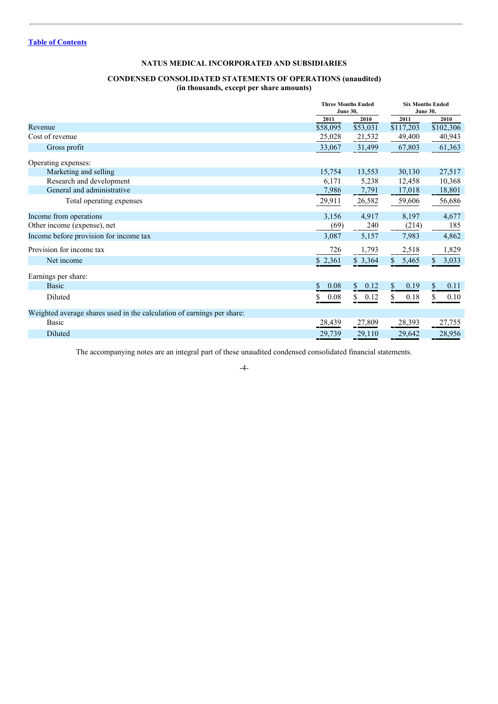# **NATUS MEDICAL INCORPORATED AND SUBSIDIARIES**

# **CONDENSED CONSOLIDATED STATEMENTS OF OPERATIONS (unaudited) (in thousands, except per share amounts)**

|                                                                        |          | <b>Three Months Ended</b><br><b>June 30,</b> |            | <b>Six Months Ended</b><br><b>June 30,</b> |
|------------------------------------------------------------------------|----------|----------------------------------------------|------------|--------------------------------------------|
|                                                                        | 2011     | 2010                                         | 2011       | 2010                                       |
| Revenue                                                                | \$58,095 | \$53,031                                     | \$117,203  | \$102,306                                  |
| Cost of revenue                                                        | 25,028   | 21,532                                       | 49,400     | 40,943                                     |
| Gross profit                                                           | 33,067   | 31,499                                       | 67,803     | 61,363                                     |
| Operating expenses:                                                    |          |                                              |            |                                            |
| Marketing and selling                                                  | 15,754   | 13,553                                       | 30,130     | 27,517                                     |
| Research and development                                               | 6,171    | 5,238                                        | 12,458     | 10,368                                     |
| General and administrative                                             | 7,986    | 7,791                                        | 17,018     | 18,801                                     |
| Total operating expenses                                               | 29,911   | 26,582                                       | 59,606     | 56,686                                     |
| Income from operations                                                 | 3,156    | 4,917                                        | 8,197      | 4,677                                      |
| Other income (expense), net                                            | (69)     | 240                                          | (214)      | 185                                        |
| Income before provision for income tax                                 | 3,087    | 5,157                                        | 7,983      | 4,862                                      |
| Provision for income tax                                               | 726      | 1,793                                        | 2,518      | 1,829                                      |
| Net income                                                             | \$2,361  | \$3,364                                      | \$5,465    | \$3,033                                    |
| Earnings per share:                                                    |          |                                              |            |                                            |
| <b>Basic</b>                                                           | 0.08     | 0.12<br>\$.                                  | \$<br>0.19 | 0.11                                       |
| Diluted                                                                | 0.08     | \$<br>0.12                                   | 0.18<br>S. | 0.10                                       |
| Weighted average shares used in the calculation of earnings per share: |          |                                              |            |                                            |
| <b>Basic</b>                                                           | 28,439   | 27,809                                       | 28,393     | 27,755                                     |
| Diluted                                                                | 29,739   | 29,110                                       | 29,642     | 28,956                                     |

The accompanying notes are an integral part of these unaudited condensed consolidated financial statements.

## -4-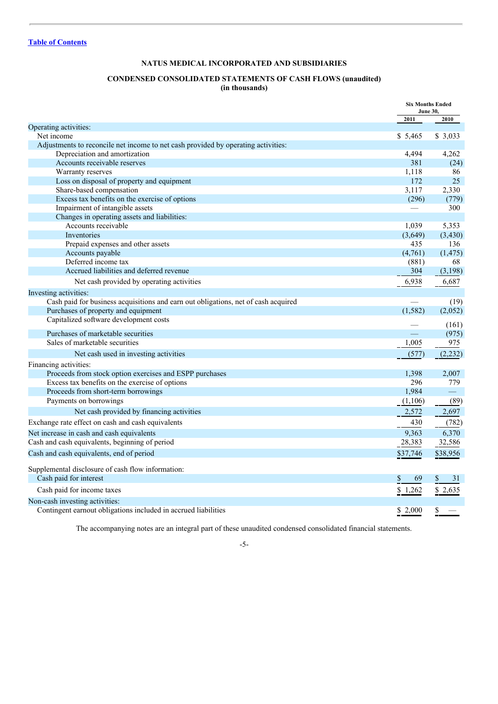# **NATUS MEDICAL INCORPORATED AND SUBSIDIARIES**

# **CONDENSED CONSOLIDATED STATEMENTS OF CASH FLOWS (unaudited) (in thousands)**

|                                                                                    | <b>Six Months Ended</b><br><b>June 30.</b> |          |
|------------------------------------------------------------------------------------|--------------------------------------------|----------|
|                                                                                    | 2011                                       | 2010     |
| Operating activities:                                                              |                                            |          |
| Net income                                                                         | \$5,465                                    | \$3,033  |
| Adjustments to reconcile net income to net cash provided by operating activities:  |                                            |          |
| Depreciation and amortization                                                      | 4,494                                      | 4,262    |
| Accounts receivable reserves                                                       | 381                                        | (24)     |
| Warranty reserves                                                                  | 1,118                                      | 86       |
| Loss on disposal of property and equipment                                         | 172                                        | 25       |
| Share-based compensation                                                           | 3,117                                      | 2,330    |
| Excess tax benefits on the exercise of options                                     | (296)                                      | (779)    |
| Impairment of intangible assets                                                    |                                            | 300      |
| Changes in operating assets and liabilities:                                       |                                            |          |
| Accounts receivable                                                                | 1,039                                      | 5,353    |
| Inventories                                                                        | (3,649)                                    | (3, 430) |
| Prepaid expenses and other assets                                                  | 435                                        | 136      |
| Accounts payable                                                                   | (4,761)                                    | (1, 475) |
| Deferred income tax                                                                | (881)                                      | 68       |
| Accrued liabilities and deferred revenue                                           | 304                                        | (3,198)  |
| Net cash provided by operating activities                                          | 6,938                                      | 6,687    |
| Investing activities:                                                              |                                            |          |
| Cash paid for business acquisitions and earn out obligations, net of cash acquired |                                            | (19)     |
| Purchases of property and equipment                                                | (1, 582)                                   | (2,052)  |
| Capitalized software development costs                                             |                                            | (161)    |
| Purchases of marketable securities                                                 |                                            | (975)    |
| Sales of marketable securities                                                     | 1,005                                      | 975      |
| Net cash used in investing activities                                              | (577)                                      | (2, 232) |
| Financing activities:                                                              |                                            |          |
| Proceeds from stock option exercises and ESPP purchases                            | 1,398                                      | 2,007    |
| Excess tax benefits on the exercise of options                                     | 296                                        | 779      |
| Proceeds from short-term borrowings                                                | 1,984                                      |          |
| Payments on borrowings                                                             | (1,106)                                    | (89)     |
| Net cash provided by financing activities                                          | 2,572                                      | 2,697    |
| Exchange rate effect on cash and cash equivalents                                  | 430                                        | (782)    |
|                                                                                    |                                            |          |
| Net increase in cash and cash equivalents                                          | 9,363                                      | 6,370    |
| Cash and cash equivalents, beginning of period                                     | 28,383                                     | 32,586   |
| Cash and cash equivalents, end of period                                           | \$37,746                                   | \$38,956 |
| Supplemental disclosure of cash flow information:                                  |                                            |          |
| Cash paid for interest                                                             | \$<br>69                                   | \$<br>31 |
|                                                                                    |                                            |          |
| Cash paid for income taxes                                                         | \$1,262                                    | \$2,635  |
| Non-cash investing activities:                                                     |                                            |          |
| Contingent earnout obligations included in accrued liabilities                     | \$2,000                                    | \$       |

The accompanying notes are an integral part of these unaudited condensed consolidated financial statements.

# -5-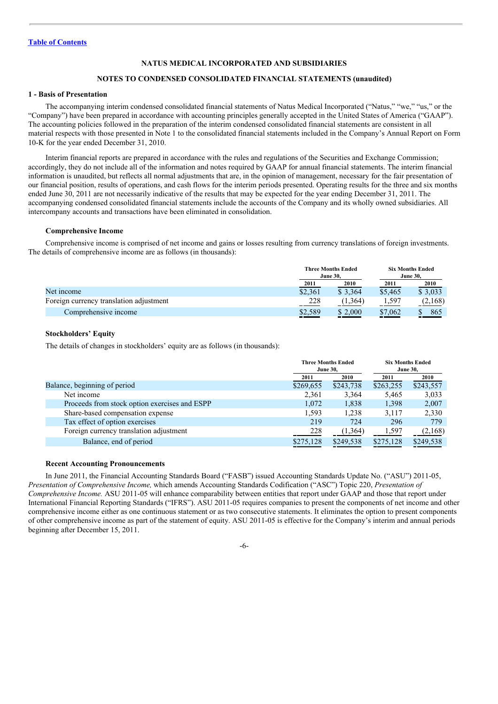## **NATUS MEDICAL INCORPORATED AND SUBSIDIARIES**

## **NOTES TO CONDENSED CONSOLIDATED FINANCIAL STATEMENTS (unaudited)**

#### **1 - Basis of Presentation**

The accompanying interim condensed consolidated financial statements of Natus Medical Incorporated ("Natus," "we," "us," or the "Company") have been prepared in accordance with accounting principles generally accepted in the United States of America ("GAAP"). The accounting policies followed in the preparation of the interim condensed consolidated financial statements are consistent in all material respects with those presented in Note 1 to the consolidated financial statements included in the Company's Annual Report on Form 10-K for the year ended December 31, 2010.

Interim financial reports are prepared in accordance with the rules and regulations of the Securities and Exchange Commission; accordingly, they do not include all of the information and notes required by GAAP for annual financial statements. The interim financial information is unaudited, but reflects all normal adjustments that are, in the opinion of management, necessary for the fair presentation of our financial position, results of operations, and cash flows for the interim periods presented. Operating results for the three and six months ended June 30, 2011 are not necessarily indicative of the results that may be expected for the year ending December 31, 2011. The accompanying condensed consolidated financial statements include the accounts of the Company and its wholly owned subsidiaries. All intercompany accounts and transactions have been eliminated in consolidation.

#### **Comprehensive Income**

Comprehensive income is comprised of net income and gains or losses resulting from currency translations of foreign investments. The details of comprehensive income are as follows (in thousands):

|                                         |         | <b>Three Months Ended</b><br><b>June 30.</b> |              | <b>Six Months Ended</b> |
|-----------------------------------------|---------|----------------------------------------------|--------------|-------------------------|
|                                         |         |                                              |              | <b>June 30.</b>         |
|                                         | 2011    | 2010                                         | 2011         | 2010                    |
| Net income                              | \$2,361 | \$ 3.364                                     | \$5,465      | \$3,033                 |
| Foreign currency translation adjustment | 228     | (.364)                                       | <u>1,597</u> | (2,168)                 |
| Comprehensive income                    | \$2,589 | \$ 2,000                                     | \$7,062      | 865                     |

#### **Stockholders' Equity**

The details of changes in stockholders' equity are as follows (in thousands):

|                                               |           | <b>Three Months Ended</b><br><b>June 30,</b> |           | <b>Six Months Ended</b> |  |  |
|-----------------------------------------------|-----------|----------------------------------------------|-----------|-------------------------|--|--|
|                                               |           |                                              |           | <b>June 30,</b>         |  |  |
|                                               | 2011      | 2010                                         | 2011      | 2010                    |  |  |
| Balance, beginning of period                  | \$269,655 | \$243,738                                    | \$263,255 | \$243,557               |  |  |
| Net income                                    | 2,361     | 3,364                                        | 5.465     | 3,033                   |  |  |
| Proceeds from stock option exercises and ESPP | 1,072     | 1,838                                        | 1,398     | 2,007                   |  |  |
| Share-based compensation expense              | 1.593     | 1,238                                        | 3,117     | 2,330                   |  |  |
| Tax effect of option exercises                | 219       | 724                                          | 296       | 779                     |  |  |
| Foreign currency translation adjustment       | 228       | (1, 364)                                     | 1,597     | (2,168)                 |  |  |
| Balance, end of period                        | \$275,128 | \$249,538                                    | \$275,128 | \$249,538               |  |  |

#### **Recent Accounting Pronouncements**

In June 2011, the Financial Accounting Standards Board ("FASB") issued Accounting Standards Update No. ("ASU") 2011-05, *Presentation of Comprehensive Income,* which amends Accounting Standards Codification ("ASC") Topic 220, *Presentation of Comprehensive Income.* ASU 2011-05 will enhance comparability between entities that report under GAAP and those that report under International Financial Reporting Standards ("IFRS"). ASU 2011-05 requires companies to present the components of net income and other comprehensive income either as one continuous statement or as two consecutive statements. It eliminates the option to present components of other comprehensive income as part of the statement of equity. ASU 2011-05 is effective for the Company's interim and annual periods beginning after December 15, 2011.

-6-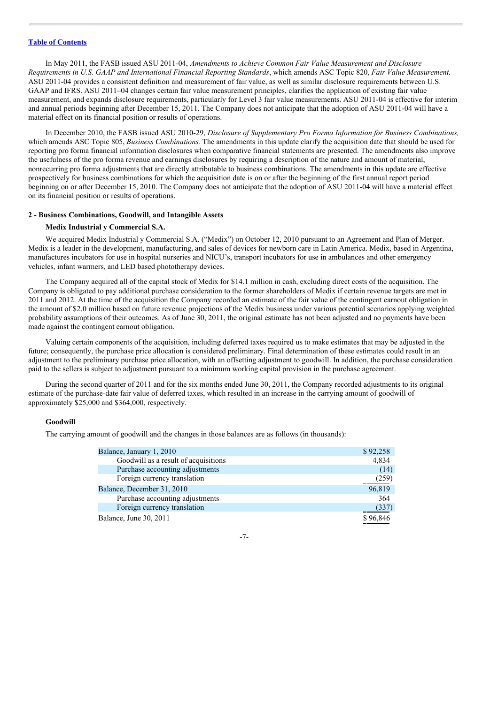In May 2011, the FASB issued ASU 2011-04, *Amendments to Achieve Common Fair Value Measurement and Disclosure Requirements in U.S. GAAP and International Financial Reporting Standards*, which amends ASC Topic 820, *Fair Value Measurement*. ASU 2011-04 provides a consistent definition and measurement of fair value, as well as similar disclosure requirements between U.S. GAAP and IFRS. ASU 2011–04 changes certain fair value measurement principles, clarifies the application of existing fair value measurement, and expands disclosure requirements, particularly for Level 3 fair value measurements. ASU 2011-04 is effective for interim and annual periods beginning after December 15, 2011. The Company does not anticipate that the adoption of ASU 2011-04 will have a material effect on its financial position or results of operations.

In December 2010, the FASB issued ASU 2010-29, *Disclosure of Supplementary Pro Forma Information for Business Combinations,* which amends ASC Topic 805, *Business Combinations.* The amendments in this update clarify the acquisition date that should be used for reporting pro forma financial information disclosures when comparative financial statements are presented. The amendments also improve the usefulness of the pro forma revenue and earnings disclosures by requiring a description of the nature and amount of material, nonrecurring pro forma adjustments that are directly attributable to business combinations. The amendments in this update are effective prospectively for business combinations for which the acquisition date is on or after the beginning of the first annual report period beginning on or after December 15, 2010. The Company does not anticipate that the adoption of ASU 2011-04 will have a material effect on its financial position or results of operations.

#### **2 - Business Combinations, Goodwill, and Intangible Assets**

## **Medix Industrial y Commercial S.A.**

We acquired Medix Industrial y Commercial S.A. ("Medix") on October 12, 2010 pursuant to an Agreement and Plan of Merger. Medix is a leader in the development, manufacturing, and sales of devices for newborn care in Latin America. Medix, based in Argentina, manufactures incubators for use in hospital nurseries and NICU's, transport incubators for use in ambulances and other emergency vehicles, infant warmers, and LED based phototherapy devices.

The Company acquired all of the capital stock of Medix for \$14.1 million in cash, excluding direct costs of the acquisition. The Company is obligated to pay additional purchase consideration to the former shareholders of Medix if certain revenue targets are met in 2011 and 2012. At the time of the acquisition the Company recorded an estimate of the fair value of the contingent earnout obligation in the amount of \$2.0 million based on future revenue projections of the Medix business under various potential scenarios applying weighted probability assumptions of their outcomes. As of June 30, 2011, the original estimate has not been adjusted and no payments have been made against the contingent earnout obligation.

Valuing certain components of the acquisition, including deferred taxes required us to make estimates that may be adjusted in the future; consequently, the purchase price allocation is considered preliminary. Final determination of these estimates could result in an adjustment to the preliminary purchase price allocation, with an offsetting adjustment to goodwill. In addition, the purchase consideration paid to the sellers is subject to adjustment pursuant to a minimum working capital provision in the purchase agreement.

During the second quarter of 2011 and for the six months ended June 30, 2011, the Company recorded adjustments to its original estimate of the purchase-date fair value of deferred taxes, which resulted in an increase in the carrying amount of goodwill of approximately \$25,000 and \$364,000, respectively.

#### **Goodwill**

The carrying amount of goodwill and the changes in those balances are as follows (in thousands):

| Balance, January 1, 2010             | \$92,258 |
|--------------------------------------|----------|
| Goodwill as a result of acquisitions | 4,834    |
| Purchase accounting adjustments      | (14)     |
| Foreign currency translation         | (259)    |
| Balance, December 31, 2010           | 96,819   |
| Purchase accounting adjustments      | 364      |
| Foreign currency translation         | (337)    |
| Balance, June 30, 2011               | \$96,846 |

-7-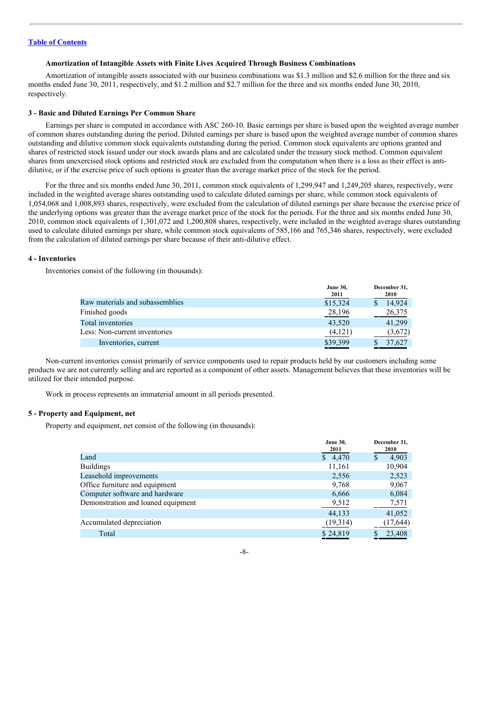## **Amortization of Intangible Assets with Finite Lives Acquired Through Business Combinations**

Amortization of intangible assets associated with our business combinations was \$1.3 million and \$2.6 million for the three and six months ended June 30, 2011, respectively, and \$1.2 million and \$2.7 million for the three and six months ended June 30, 2010, respectively.

#### **3 - Basic and Diluted Earnings Per Common Share**

Earnings per share is computed in accordance with ASC 260-10. Basic earnings per share is based upon the weighted average number of common shares outstanding during the period. Diluted earnings per share is based upon the weighted average number of common shares outstanding and dilutive common stock equivalents outstanding during the period. Common stock equivalents are options granted and shares of restricted stock issued under our stock awards plans and are calculated under the treasury stock method. Common equivalent shares from unexercised stock options and restricted stock are excluded from the computation when there is a loss as their effect is antidilutive, or if the exercise price of such options is greater than the average market price of the stock for the period.

For the three and six months ended June 30, 2011, common stock equivalents of 1,299,947 and 1,249,205 shares, respectively, were included in the weighted average shares outstanding used to calculate diluted earnings per share, while common stock equivalents of 1,054,068 and 1,008,893 shares, respectively, were excluded from the calculation of diluted earnings per share because the exercise price of the underlying options was greater than the average market price of the stock for the periods. For the three and six months ended June 30, 2010, common stock equivalents of 1,301,072 and 1,200,808 shares, respectively, were included in the weighted average shares outstanding used to calculate diluted earnings per share, while common stock equivalents of 585,166 and 765,346 shares, respectively, were excluded from the calculation of diluted earnings per share because of their anti-dilutive effect.

#### **4 - Inventories**

Inventories consist of the following (in thousands):

|                                 | <b>June 30,</b> | December 31, |
|---------------------------------|-----------------|--------------|
|                                 | 2011            | 2010         |
| Raw materials and subassemblies | \$15,324        | 14.924       |
| Finished goods                  | 28,196          | 26,375       |
| Total inventories               | 43.520          | 41.299       |
| Less: Non-current inventories   | (4,121)         | (3,672)      |
| Inventories, current            | \$39,399        | 37,627       |

Non-current inventories consist primarily of service components used to repair products held by our customers including some products we are not currently selling and are reported as a component of other assets. Management believes that these inventories will be utilized for their intended purpose.

Work in process represents an immaterial amount in all periods presented.

#### **5 - Property and Equipment, net**

Property and equipment, net consist of the following (in thousands):

|                                    | <b>June 30,</b><br>2011 | December 31,<br>2010 |
|------------------------------------|-------------------------|----------------------|
| Land                               | \$4,470                 | 4,903                |
| <b>Buildings</b>                   | 11,161                  | 10,904               |
| Leasehold improvements             | 2,556                   | 2,523                |
| Office furniture and equipment     | 9,768                   | 9,067                |
| Computer software and hardware     | 6,666                   | 6,084                |
| Demonstration and loaned equipment | 9,512                   | 7,571                |
|                                    | 44,133                  | 41,052               |
| Accumulated depreciation           | (19,314)                | (17, 644)            |
| Total                              | \$24,819                | 23,408<br>\$.        |

-8-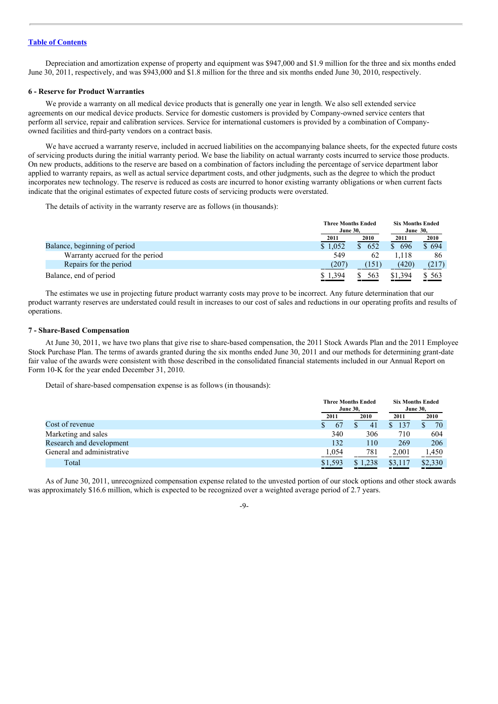Depreciation and amortization expense of property and equipment was \$947,000 and \$1.9 million for the three and six months ended June 30, 2011, respectively, and was \$943,000 and \$1.8 million for the three and six months ended June 30, 2010, respectively.

#### **6 - Reserve for Product Warranties**

We provide a warranty on all medical device products that is generally one year in length. We also sell extended service agreements on our medical device products. Service for domestic customers is provided by Company-owned service centers that perform all service, repair and calibration services. Service for international customers is provided by a combination of Companyowned facilities and third-party vendors on a contract basis.

We have accrued a warranty reserve, included in accrued liabilities on the accompanying balance sheets, for the expected future costs of servicing products during the initial warranty period. We base the liability on actual warranty costs incurred to service those products. On new products, additions to the reserve are based on a combination of factors including the percentage of service department labor applied to warranty repairs, as well as actual service department costs, and other judgments, such as the degree to which the product incorporates new technology. The reserve is reduced as costs are incurred to honor existing warranty obligations or when current facts indicate that the original estimates of expected future costs of servicing products were overstated.

The details of activity in the warranty reserve are as follows (in thousands):

|                                 |         | <b>Three Months Ended</b><br><b>June 30.</b> |         | <b>Six Months Ended</b><br><b>June 30,</b> |  |
|---------------------------------|---------|----------------------------------------------|---------|--------------------------------------------|--|
|                                 | 2011    | 2010                                         | 2011    | 2010                                       |  |
| Balance, beginning of period    | \$1,052 | 652<br>S                                     | \$696   | \$694                                      |  |
| Warranty accrued for the period | 549     | 62                                           | 1.118   | 86                                         |  |
| Repairs for the period          | (207)   | (151)                                        | (420)   | (217)                                      |  |
| Balance, end of period          | \$1,394 | 563                                          | \$1,394 | \$563                                      |  |

The estimates we use in projecting future product warranty costs may prove to be incorrect. Any future determination that our product warranty reserves are understated could result in increases to our cost of sales and reductions in our operating profits and results of operations.

#### **7 - Share-Based Compensation**

At June 30, 2011, we have two plans that give rise to share-based compensation, the 2011 Stock Awards Plan and the 2011 Employee Stock Purchase Plan. The terms of awards granted during the six months ended June 30, 2011 and our methods for determining grant-date fair value of the awards were consistent with those described in the consolidated financial statements included in our Annual Report on Form 10-K for the year ended December 31, 2010.

Detail of share-based compensation expense is as follows (in thousands):

|                            |              | <b>Three Months Ended</b><br><b>June 30.</b> |           | <b>Six Months Ended</b><br><b>June 30,</b> |  |
|----------------------------|--------------|----------------------------------------------|-----------|--------------------------------------------|--|
|                            | 2011         | 2010                                         | 2011      | 2010                                       |  |
| Cost of revenue            | 67           | 41                                           | 137<br>\$ | 70                                         |  |
| Marketing and sales        | 340          | 306                                          | 710       | 604                                        |  |
| Research and development   | 132          | 110                                          | 269       | 206                                        |  |
| General and administrative | <u>1,054</u> | 781                                          | 2,001     | 1,450                                      |  |
| Total                      | \$1,593      | \$1,238                                      | \$3,117   | \$2,330                                    |  |

As of June 30, 2011, unrecognized compensation expense related to the unvested portion of our stock options and other stock awards was approximately \$16.6 million, which is expected to be recognized over a weighted average period of 2.7 years.

## $-9-$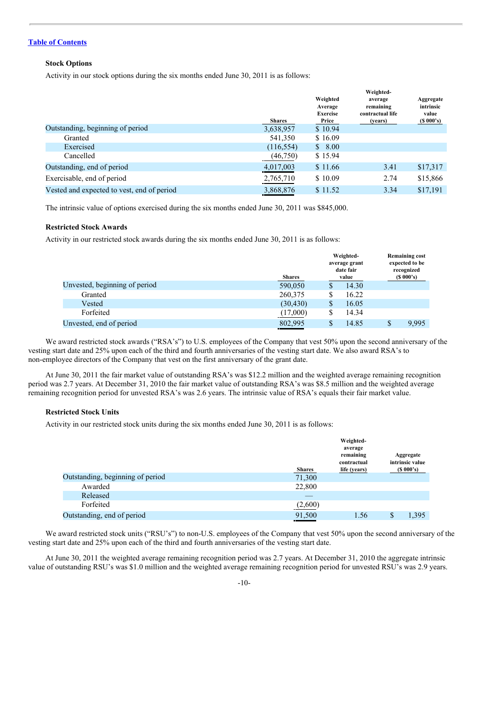## **Stock Options**

Activity in our stock options during the six months ended June 30, 2011 is as follows:

|                                            | <b>Shares</b> | Weighted<br>Average<br><b>Exercise</b><br>Price | average<br>remaining<br>contractual life<br>(years) | Aggregate<br>intrinsic<br>value<br>(S 000's) |
|--------------------------------------------|---------------|-------------------------------------------------|-----------------------------------------------------|----------------------------------------------|
| Outstanding, beginning of period           | 3,638,957     | \$10.94                                         |                                                     |                                              |
| Granted                                    | 541,350       | \$16.09                                         |                                                     |                                              |
| Exercised                                  | (116, 554)    | \$8.00                                          |                                                     |                                              |
| Cancelled                                  | (46,750)      | \$15.94                                         |                                                     |                                              |
| Outstanding, end of period                 | 4,017,003     | \$11.66                                         | 3.41                                                | \$17,317                                     |
| Exercisable, end of period                 | 2,765,710     | \$10.09                                         | 2.74                                                | \$15,866                                     |
| Vested and expected to vest, end of period | 3.868.876     | \$11.52                                         | 3.34                                                | \$17,191                                     |

The intrinsic value of options exercised during the six months ended June 30, 2011 was \$845,000.

#### **Restricted Stock Awards**

Activity in our restricted stock awards during the six months ended June 30, 2011 is as follows:

|                               | <b>Shares</b> | Weighted-<br>average grant<br>date fair<br>value |       | <b>Remaining cost</b><br>expected to be<br>recognized<br>$(S\ 000's)$ |
|-------------------------------|---------------|--------------------------------------------------|-------|-----------------------------------------------------------------------|
| Unvested, beginning of period | 590,050       | S                                                | 14.30 |                                                                       |
| Granted                       | 260,375       | S                                                | 16.22 |                                                                       |
| Vested                        | (30, 430)     | S                                                | 16.05 |                                                                       |
| Forfeited                     | (17,000)      | S                                                | 14.34 |                                                                       |
| Unvested, end of period       | 802,995<br>-- | S                                                | 14.85 | \$<br>9,995                                                           |

We award restricted stock awards ("RSA's") to U.S. employees of the Company that vest 50% upon the second anniversary of the vesting start date and 25% upon each of the third and fourth anniversaries of the vesting start date. We also award RSA's to non-employee directors of the Company that vest on the first anniversary of the grant date.

At June 30, 2011 the fair market value of outstanding RSA's was \$12.2 million and the weighted average remaining recognition period was 2.7 years. At December 31, 2010 the fair market value of outstanding RSA's was \$8.5 million and the weighted average remaining recognition period for unvested RSA's was 2.6 years. The intrinsic value of RSA's equals their fair market value.

#### **Restricted Stock Units**

Activity in our restricted stock units during the six months ended June 30, 2011 is as follows:

|                                  | <b>Shares</b> | Weighted-<br>average<br>remaining<br>contractual<br>life (years) | Aggregate<br>intrinsic value<br>$(S\ 000's)$ |  |
|----------------------------------|---------------|------------------------------------------------------------------|----------------------------------------------|--|
| Outstanding, beginning of period | 71,300        |                                                                  |                                              |  |
| Awarded                          | 22,800        |                                                                  |                                              |  |
| Released                         |               |                                                                  |                                              |  |
| Forfeited                        | (2,600)       |                                                                  |                                              |  |
| Outstanding, end of period       | 91,500        | 1.56                                                             | 1.395                                        |  |

We award restricted stock units ("RSU's") to non-U.S. employees of the Company that vest 50% upon the second anniversary of the vesting start date and 25% upon each of the third and fourth anniversaries of the vesting start date.

At June 30, 2011 the weighted average remaining recognition period was 2.7 years. At December 31, 2010 the aggregate intrinsic value of outstanding RSU's was \$1.0 million and the weighted average remaining recognition period for unvested RSU's was 2.9 years.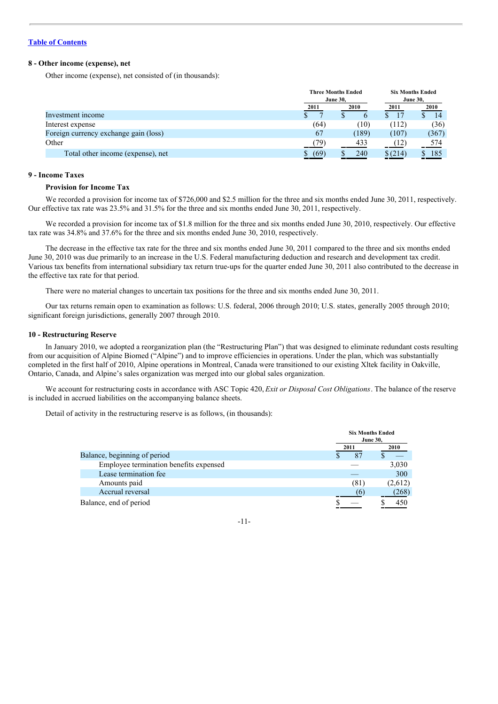## **8 - Other income (expense), net**

Other income (expense), net consisted of (in thousands):

|                                       |           | <b>Three Months Ended</b><br><b>June 30.</b> | <b>Six Months Ended</b><br><b>June 30,</b> |           |
|---------------------------------------|-----------|----------------------------------------------|--------------------------------------------|-----------|
|                                       | 2011      | 2010                                         | 2011                                       | 2010      |
| Investment income                     |           | b                                            |                                            | 14        |
| Interest expense                      | (64)      | (10)                                         | (112)                                      | (36)      |
| Foreign currency exchange gain (loss) | 67        | (189)                                        | (107)                                      | (367)     |
| Other                                 | 79        | 433                                          | (12)                                       | 574       |
| Total other income (expense), net     | (69)<br>S | 240                                          | \$(214)                                    | 185<br>S. |

#### **9 - Income Taxes**

## **Provision for Income Tax**

We recorded a provision for income tax of \$726,000 and \$2.5 million for the three and six months ended June 30, 2011, respectively. Our effective tax rate was 23.5% and 31.5% for the three and six months ended June 30, 2011, respectively.

We recorded a provision for income tax of \$1.8 million for the three and six months ended June 30, 2010, respectively. Our effective tax rate was 34.8% and 37.6% for the three and six months ended June 30, 2010, respectively.

The decrease in the effective tax rate for the three and six months ended June 30, 2011 compared to the three and six months ended June 30, 2010 was due primarily to an increase in the U.S. Federal manufacturing deduction and research and development tax credit. Various tax benefits from international subsidiary tax return true-ups for the quarter ended June 30, 2011 also contributed to the decrease in the effective tax rate for that period.

There were no material changes to uncertain tax positions for the three and six months ended June 30, 2011.

Our tax returns remain open to examination as follows: U.S. federal, 2006 through 2010; U.S. states, generally 2005 through 2010; significant foreign jurisdictions, generally 2007 through 2010.

## **10 - Restructuring Reserve**

In January 2010, we adopted a reorganization plan (the "Restructuring Plan") that was designed to eliminate redundant costs resulting from our acquisition of Alpine Biomed ("Alpine") and to improve efficiencies in operations. Under the plan, which was substantially completed in the first half of 2010, Alpine operations in Montreal, Canada were transitioned to our existing Xltek facility in Oakville, Ontario, Canada, and Alpine's sales organization was merged into our global sales organization.

We account for restructuring costs in accordance with ASC Topic 420, *Exit or Disposal Cost Obligations*. The balance of the reserve is included in accrued liabilities on the accompanying balance sheets.

Detail of activity in the restructuring reserve is as follows, (in thousands):

|                                        | <b>Six Months Ended</b><br><b>June 30,</b> |         |
|----------------------------------------|--------------------------------------------|---------|
|                                        | 2011                                       | 2010    |
| Balance, beginning of period           | 87<br>S                                    |         |
| Employee termination benefits expensed |                                            | 3,030   |
| Lease termination fee                  |                                            | 300     |
| Amounts paid                           | (81)                                       | (2,612) |
| Accrual reversal                       | $\lceil 6 \rceil$                          | (268)   |
| Balance, end of period                 |                                            | 450     |

-11-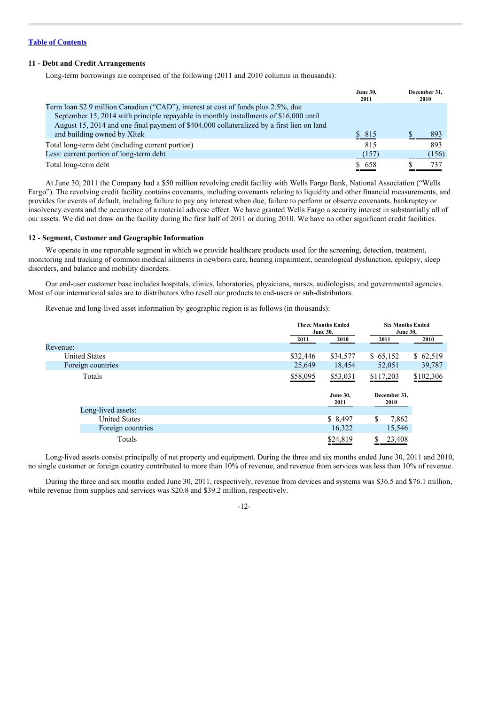## **11 - Debt and Credit Arrangements**

Long-term borrowings are comprised of the following (2011 and 2010 columns in thousands):

|                                                                                           | <b>June 30,</b><br>2011 | December 31.<br>2010 |
|-------------------------------------------------------------------------------------------|-------------------------|----------------------|
| Term loan \$2.9 million Canadian ("CAD"), interest at cost of funds plus 2.5%, due        |                         |                      |
| September 15, 2014 with principle repayable in monthly installments of \$16,000 until     |                         |                      |
| August 15, 2014 and one final payment of \$404,000 collateralized by a first lien on land |                         |                      |
| and building owned by Xltek                                                               | \$815                   | 893                  |
| Total long-term debt (including current portion)                                          | 815                     | 893                  |
| Less: current portion of long-term debt                                                   | (157)                   | (156)                |
| Total long-term debt                                                                      | \$658                   | 731                  |

At June 30, 2011 the Company had a \$50 million revolving credit facility with Wells Fargo Bank, National Association ("Wells Fargo"). The revolving credit facility contains covenants, including covenants relating to liquidity and other financial measurements, and provides for events of default, including failure to pay any interest when due, failure to perform or observe covenants, bankruptcy or insolvency events and the occurrence of a material adverse effect. We have granted Wells Fargo a security interest in substantially all of our assets. We did not draw on the facility during the first half of 2011 or during 2010. We have no other significant credit facilities.

#### **12 - Segment, Customer and Geographic Information**

We operate in one reportable segment in which we provide healthcare products used for the screening, detection, treatment, monitoring and tracking of common medical ailments in newborn care, hearing impairment, neurological dysfunction, epilepsy, sleep disorders, and balance and mobility disorders.

Our end-user customer base includes hospitals, clinics, laboratories, physicians, nurses, audiologists, and governmental agencies. Most of our international sales are to distributors who resell our products to end-users or sub-distributors.

Revenue and long-lived asset information by geographic region is as follows (in thousands):

|                      |          | <b>Three Months Ended</b><br><b>June 30,</b> | <b>Six Months Ended</b><br><b>June 30,</b> |           |
|----------------------|----------|----------------------------------------------|--------------------------------------------|-----------|
|                      | 2011     | 2010                                         | 2011                                       | 2010      |
| Revenue:             |          |                                              |                                            |           |
| <b>United States</b> | \$32,446 | \$34,577                                     | \$65,152                                   | \$62,519  |
| Foreign countries    | 25,649   | 18,454                                       | 52,051                                     | 39,787    |
| Totals               | \$58,095 | \$53,031                                     | \$117,203                                  | \$102,306 |
|                      |          | <b>June 30,</b><br>2011                      | December 31,<br>2010                       |           |
| Long-lived assets:   |          |                                              |                                            |           |
| <b>United States</b> |          | \$ 8,497                                     | S<br>7,862                                 |           |
| Foreign countries    |          | 16,322                                       | 15,546                                     |           |
| Totals               |          | \$24,819                                     | 23,408                                     |           |

Long-lived assets consist principally of net property and equipment. During the three and six months ended June 30, 2011 and 2010, no single customer or foreign country contributed to more than 10% of revenue, and revenue from services was less than 10% of revenue.

During the three and six months ended June 30, 2011, respectively, revenue from devices and systems was \$36.5 and \$76.1 million, while revenue from supplies and services was \$20.8 and \$39.2 million, respectively.

## -12-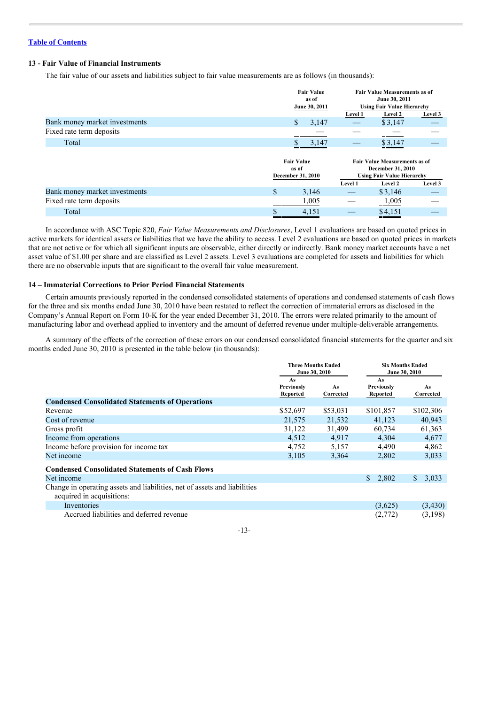## **13 - Fair Value of Financial Instruments**

The fair value of our assets and liabilities subject to fair value measurements are as follows (in thousands):

|                               |                                                 | <b>Fair Value</b><br>as of<br>June 30, 2011 |                                                                                                | <b>Fair Value Measurements as of</b><br>June 30, 2011<br><b>Using Fair Value Hierarchy</b> |         |
|-------------------------------|-------------------------------------------------|---------------------------------------------|------------------------------------------------------------------------------------------------|--------------------------------------------------------------------------------------------|---------|
|                               |                                                 |                                             | Level 1                                                                                        | Level 2                                                                                    | Level 3 |
| Bank money market investments | \$                                              | 3,147                                       |                                                                                                | \$3,147                                                                                    |         |
| Fixed rate term deposits      |                                                 |                                             |                                                                                                |                                                                                            |         |
| Total                         |                                                 | 3,147                                       |                                                                                                | \$3,147                                                                                    |         |
|                               | <b>Fair Value</b><br>as of<br>December 31, 2010 |                                             | <b>Fair Value Measurements as of</b><br>December 31, 2010<br><b>Using Fair Value Hierarchy</b> |                                                                                            |         |
|                               |                                                 |                                             | Level 1                                                                                        | Level 2                                                                                    | Level 3 |
| Bank money market investments | \$                                              | 3,146                                       |                                                                                                | \$3,146                                                                                    |         |
| Fixed rate term deposits      |                                                 | 1,005                                       |                                                                                                | 1,005                                                                                      |         |
| Total                         |                                                 | 4,151                                       |                                                                                                | \$4,151                                                                                    |         |

In accordance with ASC Topic 820, *Fair Value Measurements and Disclosures*, Level 1 evaluations are based on quoted prices in active markets for identical assets or liabilities that we have the ability to access. Level 2 evaluations are based on quoted prices in markets that are not active or for which all significant inputs are observable, either directly or indirectly. Bank money market accounts have a net asset value of \$1.00 per share and are classified as Level 2 assets. Level 3 evaluations are completed for assets and liabilities for which there are no observable inputs that are significant to the overall fair value measurement.

## **14 – Immaterial Corrections to Prior Period Financial Statements**

Certain amounts previously reported in the condensed consolidated statements of operations and condensed statements of cash flows for the three and six months ended June 30, 2010 have been restated to reflect the correction of immaterial errors as disclosed in the Company's Annual Report on Form 10-K for the year ended December 31, 2010. The errors were related primarily to the amount of manufacturing labor and overhead applied to inventory and the amount of deferred revenue under multiple-deliverable arrangements.

A summary of the effects of the correction of these errors on our condensed consolidated financial statements for the quarter and six months ended June 30, 2010 is presented in the table below (in thousands):

|                                                                                                        | <b>Three Months Ended</b><br>June 30, 2010 |                 | <b>Six Months Ended</b><br>June 30, 2010 |                       |
|--------------------------------------------------------------------------------------------------------|--------------------------------------------|-----------------|------------------------------------------|-----------------------|
|                                                                                                        | As<br>Previously<br>Reported               | As<br>Corrected | As<br><b>Previously</b><br>Reported      | As<br>Corrected       |
| <b>Condensed Consolidated Statements of Operations</b>                                                 |                                            |                 |                                          |                       |
| Revenue                                                                                                | \$52,697                                   | \$53,031        | \$101,857                                | \$102,306             |
| Cost of revenue                                                                                        | 21,575                                     | 21,532          | 41,123                                   | 40,943                |
| Gross profit                                                                                           | 31,122                                     | 31,499          | 60,734                                   | 61,363                |
| Income from operations                                                                                 | 4,512                                      | 4,917           | 4,304                                    | 4,677                 |
| Income before provision for income tax                                                                 | 4,752                                      | 5,157           | 4,490                                    | 4,862                 |
| Net income                                                                                             | 3,105                                      | 3,364           | 2,802                                    | 3,033                 |
| <b>Condensed Consolidated Statements of Cash Flows</b>                                                 |                                            |                 |                                          |                       |
| Net income                                                                                             |                                            |                 | 2,802<br>S.                              | 3,033<br><sup>S</sup> |
| Change in operating assets and liabilities, net of assets and liabilities<br>acquired in acquisitions: |                                            |                 |                                          |                       |
| Inventories                                                                                            |                                            |                 | (3,625)                                  | (3,430)               |
| Accrued liabilities and deferred revenue                                                               |                                            |                 | (2,772)                                  | (3,198)               |

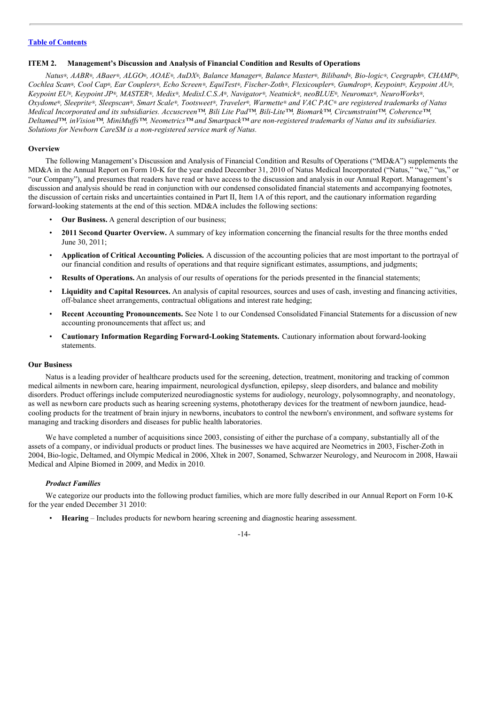## **ITEM 2. Management's Discussion and Analysis of Financial Condition and Results of Operations**

Natus®, AABR®, ABaer®, ALGO®, AOAE®, AuDX®, Balance Manager®, Balance Master®, Biliband®, Bio-logic®, Ceegraph®, CHAMP®, Cochlea Scan®, Cool Cap®, Ear Couplers®, Echo Screen®, EquiTest®, Fischer-Zoth®, Flexicoupler®, Gumdrop®, Keypoint®, Keypoint AU®, Keypoint EU®, Keypoint JP®, MASTER®, Medix®, MedixI.C.S.A®, Navigator®, Neatnick®, neoBLUE®, Neuromax®, NeuroWorks®, Oxydome®, Sleeprite®, Sleepscan®, Smart Scale®, Tootsweet®, Traveler®, Warmette® and VAC PAC® are registered trademarks of Natus *Medical Incorporated and its subsidiaries. Accuscreen™, Bili Lite Pad™, Bili-Lite™, Biomark™, Circumstraint™, Coherence™,* Deltamed™, inVision™, MiniMuffs™, Neometrics™ and Smartpack™ are non-registered trademarks of Natus and its subsidiaries. *Solutions for Newborn CareSM is a non-registered service mark of Natus.*

#### **Overview**

The following Management's Discussion and Analysis of Financial Condition and Results of Operations ("MD&A") supplements the MD&A in the Annual Report on Form 10-K for the year ended December 31, 2010 of Natus Medical Incorporated ("Natus," "we," "us," or "our Company"), and presumes that readers have read or have access to the discussion and analysis in our Annual Report. Management's discussion and analysis should be read in conjunction with our condensed consolidated financial statements and accompanying footnotes, the discussion of certain risks and uncertainties contained in Part II, Item 1A of this report, and the cautionary information regarding forward-looking statements at the end of this section. MD&A includes the following sections:

- **Our Business.** A general description of our business;
- **2011 Second Quarter Overview.** A summary of key information concerning the financial results for the three months ended June 30, 2011;
- **Application of Critical Accounting Policies.** A discussion of the accounting policies that are most important to the portrayal of our financial condition and results of operations and that require significant estimates, assumptions, and judgments;
- **Results of Operations.** An analysis of our results of operations for the periods presented in the financial statements;
- **Liquidity and Capital Resources.** An analysis of capital resources, sources and uses of cash, investing and financing activities, off-balance sheet arrangements, contractual obligations and interest rate hedging;
- **Recent Accounting Pronouncements.** See Note 1 to our Condensed Consolidated Financial Statements for a discussion of new accounting pronouncements that affect us; and
- **Cautionary Information Regarding Forward-Looking Statements.** Cautionary information about forward-looking statements.

#### **Our Business**

Natus is a leading provider of healthcare products used for the screening, detection, treatment, monitoring and tracking of common medical ailments in newborn care, hearing impairment, neurological dysfunction, epilepsy, sleep disorders, and balance and mobility disorders. Product offerings include computerized neurodiagnostic systems for audiology, neurology, polysomnography, and neonatology, as well as newborn care products such as hearing screening systems, phototherapy devices for the treatment of newborn jaundice, headcooling products for the treatment of brain injury in newborns, incubators to control the newborn's environment, and software systems for managing and tracking disorders and diseases for public health laboratories.

We have completed a number of acquisitions since 2003, consisting of either the purchase of a company, substantially all of the assets of a company, or individual products or product lines. The businesses we have acquired are Neometrics in 2003, Fischer-Zoth in 2004, Bio-logic, Deltamed, and Olympic Medical in 2006, Xltek in 2007, Sonamed, Schwarzer Neurology, and Neurocom in 2008, Hawaii Medical and Alpine Biomed in 2009, and Medix in 2010.

#### *Product Families*

We categorize our products into the following product families, which are more fully described in our Annual Report on Form 10-K for the year ended December 31 2010:

• **Hearing** – Includes products for newborn hearing screening and diagnostic hearing assessment.

-14-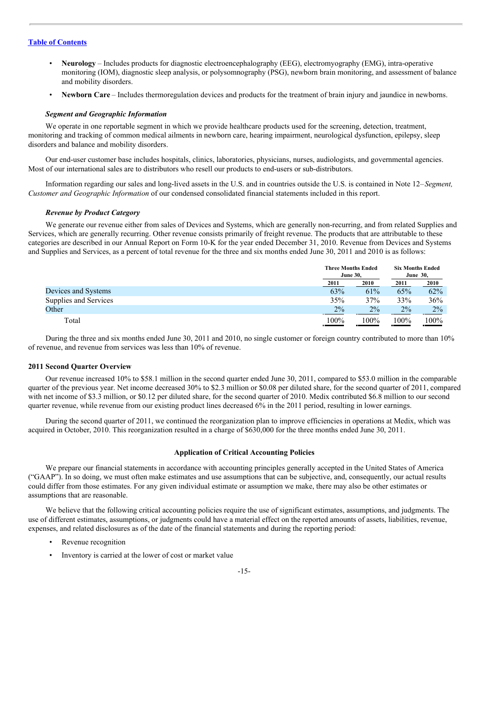- **Neurology** *–* Includes products for diagnostic electroencephalography (EEG), electromyography (EMG), intra-operative monitoring (IOM), diagnostic sleep analysis, or polysomnography (PSG), newborn brain monitoring, and assessment of balance and mobility disorders.
- **Newborn Care** Includes thermoregulation devices and products for the treatment of brain injury and jaundice in newborns.

#### *Segment and Geographic Information*

We operate in one reportable segment in which we provide healthcare products used for the screening, detection, treatment, monitoring and tracking of common medical ailments in newborn care, hearing impairment, neurological dysfunction, epilepsy, sleep disorders and balance and mobility disorders.

Our end-user customer base includes hospitals, clinics, laboratories, physicians, nurses, audiologists, and governmental agencies. Most of our international sales are to distributors who resell our products to end-users or sub-distributors.

Information regarding our sales and long-lived assets in the U.S. and in countries outside the U.S. is contained in Note 12–*Segment, Customer and Geographic Information* of our condensed consolidated financial statements included in this report.

#### *Revenue by Product Category*

We generate our revenue either from sales of Devices and Systems, which are generally non-recurring, and from related Supplies and Services, which are generally recurring. Other revenue consists primarily of freight revenue. The products that are attributable to these categories are described in our Annual Report on Form 10-K for the year ended December 31, 2010. Revenue from Devices and Systems and Supplies and Services, as a percent of total revenue for the three and six months ended June 30, 2011 and 2010 is as follows:

|                       | <b>Three Months Ended</b> |                 | <b>Six Months Ended</b> |                 |  |
|-----------------------|---------------------------|-----------------|-------------------------|-----------------|--|
|                       |                           | <b>June 30.</b> |                         | <b>June 30,</b> |  |
|                       | 2011                      | 2010            | 2011                    | 2010            |  |
| Devices and Systems   | 63%                       | 61%             | 65%                     | 62%             |  |
| Supplies and Services | 35%                       | 37%             | 33%                     | 36%             |  |
| Other                 | $2\%$                     | $2\%$           | $2\%$                   | $2\%$           |  |
| Total                 | $100\%$                   | 100%            | $100\%$                 | $100\%$         |  |

During the three and six months ended June 30, 2011 and 2010, no single customer or foreign country contributed to more than 10% of revenue, and revenue from services was less than 10% of revenue.

## **2011 Second Quarter Overview**

Our revenue increased 10% to \$58.1 million in the second quarter ended June 30, 2011, compared to \$53.0 million in the comparable quarter of the previous year. Net income decreased 30% to \$2.3 million or \$0.08 per diluted share, for the second quarter of 2011, compared with net income of \$3.3 million, or \$0.12 per diluted share, for the second quarter of 2010. Medix contributed \$6.8 million to our second quarter revenue, while revenue from our existing product lines decreased 6% in the 2011 period, resulting in lower earnings.

During the second quarter of 2011, we continued the reorganization plan to improve efficiencies in operations at Medix, which was acquired in October, 2010. This reorganization resulted in a charge of \$630,000 for the three months ended June 30, 2011.

#### **Application of Critical Accounting Policies**

We prepare our financial statements in accordance with accounting principles generally accepted in the United States of America ("GAAP"). In so doing, we must often make estimates and use assumptions that can be subjective, and, consequently, our actual results could differ from those estimates. For any given individual estimate or assumption we make, there may also be other estimates or assumptions that are reasonable.

We believe that the following critical accounting policies require the use of significant estimates, assumptions, and judgments. The use of different estimates, assumptions, or judgments could have a material effect on the reported amounts of assets, liabilities, revenue, expenses, and related disclosures as of the date of the financial statements and during the reporting period:

- Revenue recognition
- Inventory is carried at the lower of cost or market value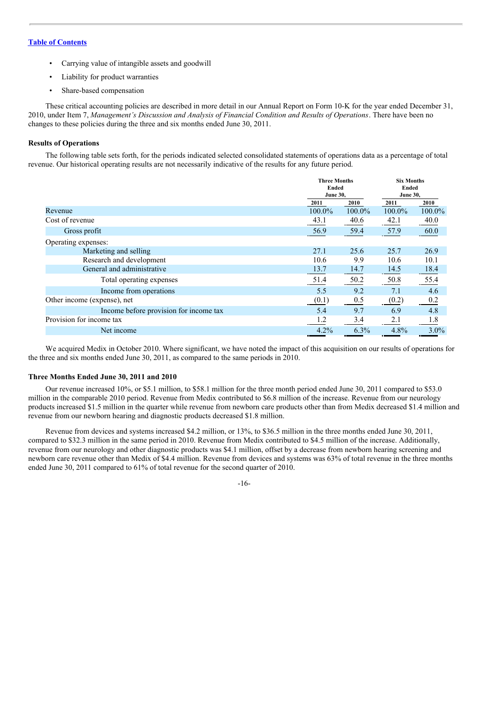- Carrying value of intangible assets and goodwill
- Liability for product warranties
- Share-based compensation

These critical accounting policies are described in more detail in our Annual Report on Form 10-K for the year ended December 31, 2010, under Item 7, *Management's Discussion and Analysis of Financial Condition and Results of Operations*. There have been no changes to these policies during the three and six months ended June 30, 2011.

### **Results of Operations**

The following table sets forth, for the periods indicated selected consolidated statements of operations data as a percentage of total revenue. Our historical operating results are not necessarily indicative of the results for any future period.

|                                        | <b>Three Months</b><br>Ended<br><b>June 30,</b> |        | <b>Six Months</b><br>Ended<br><b>June 30,</b> |        |
|----------------------------------------|-------------------------------------------------|--------|-----------------------------------------------|--------|
|                                        | 2011                                            | 2010   | 2011                                          | 2010   |
| Revenue                                | $100.0\%$                                       | 100.0% | 100.0%                                        | 100.0% |
| Cost of revenue                        | 43.1                                            | 40.6   | 42.1                                          | 40.0   |
| Gross profit                           | 56.9                                            | 59.4   | 57.9                                          | 60.0   |
| Operating expenses:                    |                                                 |        |                                               |        |
| Marketing and selling                  | 27.1                                            | 25.6   | 25.7                                          | 26.9   |
| Research and development               | 10.6                                            | 9.9    | 10.6                                          | 10.1   |
| General and administrative             | 13.7                                            | 14.7   | 14.5                                          | 18.4   |
| Total operating expenses               | 51.4                                            | 50.2   | 50.8                                          | 55.4   |
| Income from operations                 | 5.5                                             | 9.2    | 7.1                                           | 4.6    |
| Other income (expense), net            | (0.1)                                           | 0.5    | (0.2)                                         | 0.2    |
| Income before provision for income tax | 5.4                                             | 9.7    | 6.9                                           | 4.8    |
| Provision for income tax               |                                                 | 3.4    | 2.1                                           | 1.8    |
| Net income                             | 4.2%                                            | 6.3%   | 4.8%                                          | 3.0%   |

We acquired Medix in October 2010. Where significant, we have noted the impact of this acquisition on our results of operations for the three and six months ended June 30, 2011, as compared to the same periods in 2010.

#### **Three Months Ended June 30, 2011 and 2010**

Our revenue increased 10%, or \$5.1 million, to \$58.1 million for the three month period ended June 30, 2011 compared to \$53.0 million in the comparable 2010 period. Revenue from Medix contributed to \$6.8 million of the increase. Revenue from our neurology products increased \$1.5 million in the quarter while revenue from newborn care products other than from Medix decreased \$1.4 million and revenue from our newborn hearing and diagnostic products decreased \$1.8 million.

Revenue from devices and systems increased \$4.2 million, or 13%, to \$36.5 million in the three months ended June 30, 2011, compared to \$32.3 million in the same period in 2010. Revenue from Medix contributed to \$4.5 million of the increase. Additionally, revenue from our neurology and other diagnostic products was \$4.1 million, offset by a decrease from newborn hearing screening and newborn care revenue other than Medix of \$4.4 million. Revenue from devices and systems was 63% of total revenue in the three months ended June 30, 2011 compared to 61% of total revenue for the second quarter of 2010.

#### -16-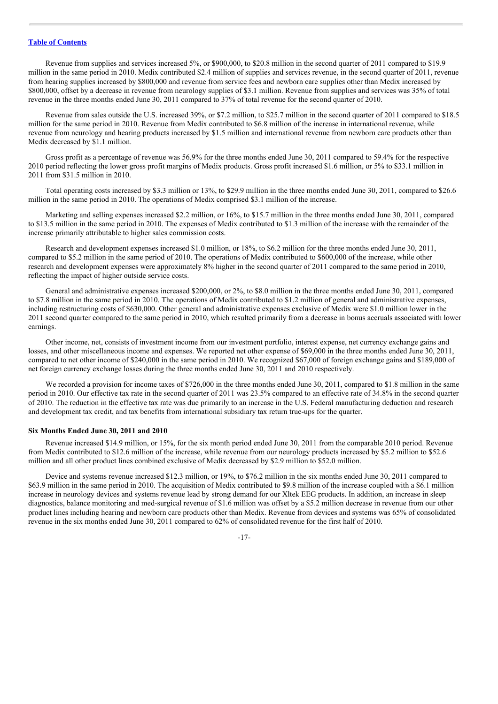Revenue from supplies and services increased 5%, or \$900,000, to \$20.8 million in the second quarter of 2011 compared to \$19.9 million in the same period in 2010. Medix contributed \$2.4 million of supplies and services revenue, in the second quarter of 2011, revenue from hearing supplies increased by \$800,000 and revenue from service fees and newborn care supplies other than Medix increased by \$800,000, offset by a decrease in revenue from neurology supplies of \$3.1 million. Revenue from supplies and services was 35% of total revenue in the three months ended June 30, 2011 compared to 37% of total revenue for the second quarter of 2010.

Revenue from sales outside the U.S. increased 39%, or \$7.2 million, to \$25.7 million in the second quarter of 2011 compared to \$18.5 million for the same period in 2010. Revenue from Medix contributed to \$6.8 million of the increase in international revenue, while revenue from neurology and hearing products increased by \$1.5 million and international revenue from newborn care products other than Medix decreased by \$1.1 million.

Gross profit as a percentage of revenue was 56.9% for the three months ended June 30, 2011 compared to 59.4% for the respective 2010 period reflecting the lower gross profit margins of Medix products. Gross profit increased \$1.6 million, or 5% to \$33.1 million in 2011 from \$31.5 million in 2010.

Total operating costs increased by \$3.3 million or 13%, to \$29.9 million in the three months ended June 30, 2011, compared to \$26.6 million in the same period in 2010. The operations of Medix comprised \$3.1 million of the increase.

Marketing and selling expenses increased \$2.2 million, or 16%, to \$15.7 million in the three months ended June 30, 2011, compared to \$13.5 million in the same period in 2010. The expenses of Medix contributed to \$1.3 million of the increase with the remainder of the increase primarily attributable to higher sales commission costs.

Research and development expenses increased \$1.0 million, or 18%, to \$6.2 million for the three months ended June 30, 2011, compared to \$5.2 million in the same period of 2010. The operations of Medix contributed to \$600,000 of the increase, while other research and development expenses were approximately 8% higher in the second quarter of 2011 compared to the same period in 2010, reflecting the impact of higher outside service costs.

General and administrative expenses increased \$200,000, or 2%, to \$8.0 million in the three months ended June 30, 2011, compared to \$7.8 million in the same period in 2010. The operations of Medix contributed to \$1.2 million of general and administrative expenses, including restructuring costs of \$630,000. Other general and administrative expenses exclusive of Medix were \$1.0 million lower in the 2011 second quarter compared to the same period in 2010, which resulted primarily from a decrease in bonus accruals associated with lower earnings.

Other income, net, consists of investment income from our investment portfolio, interest expense, net currency exchange gains and losses, and other miscellaneous income and expenses. We reported net other expense of \$69,000 in the three months ended June 30, 2011, compared to net other income of \$240,000 in the same period in 2010. We recognized \$67,000 of foreign exchange gains and \$189,000 of net foreign currency exchange losses during the three months ended June 30, 2011 and 2010 respectively.

We recorded a provision for income taxes of \$726,000 in the three months ended June 30, 2011, compared to \$1.8 million in the same period in 2010. Our effective tax rate in the second quarter of 2011 was 23.5% compared to an effective rate of 34.8% in the second quarter of 2010. The reduction in the effective tax rate was due primarily to an increase in the U.S. Federal manufacturing deduction and research and development tax credit, and tax benefits from international subsidiary tax return true-ups for the quarter.

#### **Six Months Ended June 30, 2011 and 2010**

Revenue increased \$14.9 million, or 15%, for the six month period ended June 30, 2011 from the comparable 2010 period. Revenue from Medix contributed to \$12.6 million of the increase, while revenue from our neurology products increased by \$5.2 million to \$52.6 million and all other product lines combined exclusive of Medix decreased by \$2.9 million to \$52.0 million.

Device and systems revenue increased \$12.3 million, or 19%, to \$76.2 million in the six months ended June 30, 2011 compared to \$63.9 million in the same period in 2010. The acquisition of Medix contributed to \$9.8 million of the increase coupled with a \$6.1 million increase in neurology devices and systems revenue lead by strong demand for our Xltek EEG products. In addition, an increase in sleep diagnostics, balance monitoring and med-surgical revenue of \$1.6 million was offset by a \$5.2 million decrease in revenue from our other product lines including hearing and newborn care products other than Medix. Revenue from devices and systems was 65% of consolidated revenue in the six months ended June 30, 2011 compared to 62% of consolidated revenue for the first half of 2010.

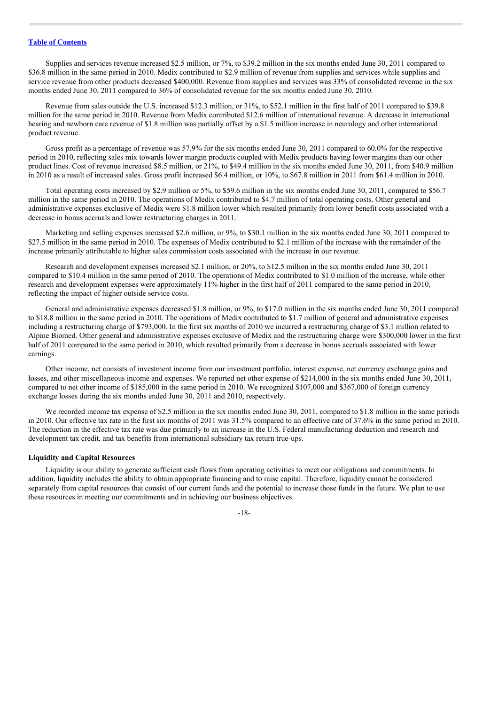Supplies and services revenue increased \$2.5 million, or 7%, to \$39.2 million in the six months ended June 30, 2011 compared to \$36.8 million in the same period in 2010. Medix contributed to \$2.9 million of revenue from supplies and services while supplies and service revenue from other products decreased \$400,000. Revenue from supplies and services was 33% of consolidated revenue in the six months ended June 30, 2011 compared to 36% of consolidated revenue for the six months ended June 30, 2010.

Revenue from sales outside the U.S. increased \$12.3 million, or 31%, to \$52.1 million in the first half of 2011 compared to \$39.8 million for the same period in 2010. Revenue from Medix contributed \$12.6 million of international revenue. A decrease in international hearing and newborn care revenue of \$1.8 million was partially offset by a \$1.5 million increase in neurology and other international product revenue.

Gross profit as a percentage of revenue was 57.9% for the six months ended June 30, 2011 compared to 60.0% for the respective period in 2010, reflecting sales mix towards lower margin products coupled with Medix products having lower margins than our other product lines. Cost of revenue increased \$8.5 million, or 21%, to \$49.4 million in the six months ended June 30, 2011, from \$40.9 million in 2010 as a result of increased sales. Gross profit increased \$6.4 million, or 10%, to \$67.8 million in 2011 from \$61.4 million in 2010.

Total operating costs increased by \$2.9 million or 5%, to \$59.6 million in the six months ended June 30, 2011, compared to \$56.7 million in the same period in 2010. The operations of Medix contributed to \$4.7 million of total operating costs. Other general and administrative expenses exclusive of Medix were \$1.8 million lower which resulted primarily from lower benefit costs associated with a decrease in bonus accruals and lower restructuring charges in 2011.

Marketing and selling expenses increased \$2.6 million, or 9%, to \$30.1 million in the six months ended June 30, 2011 compared to \$27.5 million in the same period in 2010. The expenses of Medix contributed to \$2.1 million of the increase with the remainder of the increase primarily attributable to higher sales commission costs associated with the increase in our revenue.

Research and development expenses increased \$2.1 million, or 20%, to \$12.5 million in the six months ended June 30, 2011 compared to \$10.4 million in the same period of 2010. The operations of Medix contributed to \$1.0 million of the increase, while other research and development expenses were approximately 11% higher in the first half of 2011 compared to the same period in 2010, reflecting the impact of higher outside service costs.

General and administrative expenses decreased \$1.8 million, or 9%, to \$17.0 million in the six months ended June 30, 2011 compared to \$18.8 million in the same period in 2010. The operations of Medix contributed to \$1.7 million of general and administrative expenses including a restructuring charge of \$793,000. In the first six months of 2010 we incurred a restructuring charge of \$3.1 million related to Alpine Biomed. Other general and administrative expenses exclusive of Medix and the restructuring charge were \$300,000 lower in the first half of 2011 compared to the same period in 2010, which resulted primarily from a decrease in bonus accruals associated with lower earnings.

Other income, net consists of investment income from our investment portfolio, interest expense, net currency exchange gains and losses, and other miscellaneous income and expenses. We reported net other expense of \$214,000 in the six months ended June 30, 2011, compared to net other income of \$185,000 in the same period in 2010. We recognized \$107,000 and \$367,000 of foreign currency exchange losses during the six months ended June 30, 2011 and 2010, respectively.

We recorded income tax expense of \$2.5 million in the six months ended June 30, 2011, compared to \$1.8 million in the same periods in 2010. Our effective tax rate in the first six months of 2011 was 31.5% compared to an effective rate of 37.6% in the same period in 2010. The reduction in the effective tax rate was due primarily to an increase in the U.S. Federal manufacturing deduction and research and development tax credit, and tax benefits from international subsidiary tax return true-ups.

#### **Liquidity and Capital Resources**

Liquidity is our ability to generate sufficient cash flows from operating activities to meet our obligations and commitments. In addition, liquidity includes the ability to obtain appropriate financing and to raise capital. Therefore, liquidity cannot be considered separately from capital resources that consist of our current funds and the potential to increase those funds in the future. We plan to use these resources in meeting our commitments and in achieving our business objectives.

 $-18$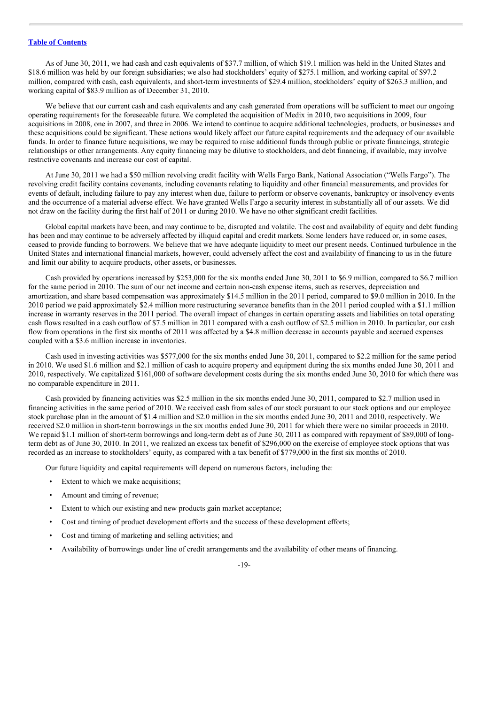As of June 30, 2011, we had cash and cash equivalents of \$37.7 million, of which \$19.1 million was held in the United States and \$18.6 million was held by our foreign subsidiaries; we also had stockholders' equity of \$275.1 million, and working capital of \$97.2 million, compared with cash, cash equivalents, and short-term investments of \$29.4 million, stockholders' equity of \$263.3 million, and working capital of \$83.9 million as of December 31, 2010.

We believe that our current cash and cash equivalents and any cash generated from operations will be sufficient to meet our ongoing operating requirements for the foreseeable future. We completed the acquisition of Medix in 2010, two acquisitions in 2009, four acquisitions in 2008, one in 2007, and three in 2006. We intend to continue to acquire additional technologies, products, or businesses and these acquisitions could be significant. These actions would likely affect our future capital requirements and the adequacy of our available funds. In order to finance future acquisitions, we may be required to raise additional funds through public or private financings, strategic relationships or other arrangements. Any equity financing may be dilutive to stockholders, and debt financing, if available, may involve restrictive covenants and increase our cost of capital.

At June 30, 2011 we had a \$50 million revolving credit facility with Wells Fargo Bank, National Association ("Wells Fargo"). The revolving credit facility contains covenants, including covenants relating to liquidity and other financial measurements, and provides for events of default, including failure to pay any interest when due, failure to perform or observe covenants, bankruptcy or insolvency events and the occurrence of a material adverse effect. We have granted Wells Fargo a security interest in substantially all of our assets. We did not draw on the facility during the first half of 2011 or during 2010. We have no other significant credit facilities.

Global capital markets have been, and may continue to be, disrupted and volatile. The cost and availability of equity and debt funding has been and may continue to be adversely affected by illiquid capital and credit markets. Some lenders have reduced or, in some cases, ceased to provide funding to borrowers. We believe that we have adequate liquidity to meet our present needs. Continued turbulence in the United States and international financial markets, however, could adversely affect the cost and availability of financing to us in the future and limit our ability to acquire products, other assets, or businesses.

Cash provided by operations increased by \$253,000 for the six months ended June 30, 2011 to \$6.9 million, compared to \$6.7 million for the same period in 2010. The sum of our net income and certain non-cash expense items, such as reserves, depreciation and amortization, and share based compensation was approximately \$14.5 million in the 2011 period, compared to \$9.0 million in 2010. In the 2010 period we paid approximately \$2.4 million more restructuring severance benefits than in the 2011 period coupled with a \$1.1 million increase in warranty reserves in the 2011 period. The overall impact of changes in certain operating assets and liabilities on total operating cash flows resulted in a cash outflow of \$7.5 million in 2011 compared with a cash outflow of \$2.5 million in 2010. In particular, our cash flow from operations in the first six months of 2011 was affected by a \$4.8 million decrease in accounts payable and accrued expenses coupled with a \$3.6 million increase in inventories.

Cash used in investing activities was \$577,000 for the six months ended June 30, 2011, compared to \$2.2 million for the same period in 2010. We used \$1.6 million and \$2.1 million of cash to acquire property and equipment during the six months ended June 30, 2011 and 2010, respectively. We capitalized \$161,000 of software development costs during the six months ended June 30, 2010 for which there was no comparable expenditure in 2011.

Cash provided by financing activities was \$2.5 million in the six months ended June 30, 2011, compared to \$2.7 million used in financing activities in the same period of 2010. We received cash from sales of our stock pursuant to our stock options and our employee stock purchase plan in the amount of \$1.4 million and \$2.0 million in the six months ended June 30, 2011 and 2010, respectively. We received \$2.0 million in short-term borrowings in the six months ended June 30, 2011 for which there were no similar proceeds in 2010. We repaid \$1.1 million of short-term borrowings and long-term debt as of June 30, 2011 as compared with repayment of \$89,000 of longterm debt as of June 30, 2010. In 2011, we realized an excess tax benefit of \$296,000 on the exercise of employee stock options that was recorded as an increase to stockholders' equity, as compared with a tax benefit of \$779,000 in the first six months of 2010.

Our future liquidity and capital requirements will depend on numerous factors, including the:

- Extent to which we make acquisitions:
- Amount and timing of revenue;
- Extent to which our existing and new products gain market acceptance;
- Cost and timing of product development efforts and the success of these development efforts;
- Cost and timing of marketing and selling activities; and
- Availability of borrowings under line of credit arrangements and the availability of other means of financing.

-19-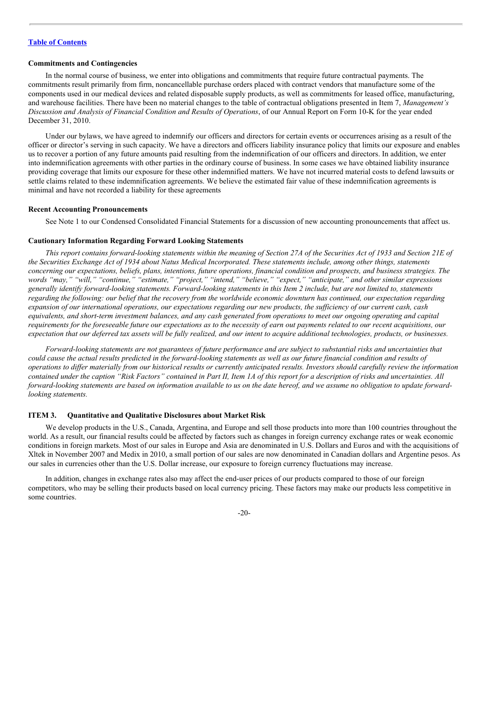## **Commitments and Contingencies**

In the normal course of business, we enter into obligations and commitments that require future contractual payments. The commitments result primarily from firm, noncancellable purchase orders placed with contract vendors that manufacture some of the components used in our medical devices and related disposable supply products, as well as commitments for leased office, manufacturing, and warehouse facilities. There have been no material changes to the table of contractual obligations presented in Item 7, *Management's Discussion and Analysis of Financial Condition and Results of Operations*, of our Annual Report on Form 10-K for the year ended December 31, 2010.

Under our bylaws, we have agreed to indemnify our officers and directors for certain events or occurrences arising as a result of the officer or director's serving in such capacity. We have a directors and officers liability insurance policy that limits our exposure and enables us to recover a portion of any future amounts paid resulting from the indemnification of our officers and directors. In addition, we enter into indemnification agreements with other parties in the ordinary course of business. In some cases we have obtained liability insurance providing coverage that limits our exposure for these other indemnified matters. We have not incurred material costs to defend lawsuits or settle claims related to these indemnification agreements. We believe the estimated fair value of these indemnification agreements is minimal and have not recorded a liability for these agreements

#### **Recent Accounting Pronouncements**

See Note 1 to our Condensed Consolidated Financial Statements for a discussion of new accounting pronouncements that affect us.

#### **Cautionary Information Regarding Forward Looking Statements**

This report contains forward-looking statements within the meaning of Section 27A of the Securities Act of 1933 and Section 21E of the Securities Exchange Act of 1934 about Natus Medical Incorporated. These statements include, among other things, statements concerning our expectations, beliefs, plans, intentions, future operations, financial condition and prospects, and business strategies. The words "may," "will," "continue," "estimate," "project," "intend," "believe," "expect," "anticipate," and other similar expressions generally identify forward-looking statements. Forward-looking statements in this Item 2 include, but are not limited to, statements regarding the following: our belief that the recovery from the worldwide economic downturn has continued, our expectation regarding expansion of our international operations, our expectations regarding our new products, the sufficiency of our current cash, cash equivalents, and short-term investment balances, and any cash generated from operations to meet our ongoing operating and capital requirements for the foreseeable future our expectations as to the necessity of earn out payments related to our recent acquisitions, our expectation that our deferred tax assets will be fully realized, and our intent to acquire additional technologies, products, or businesses.

Forward-looking statements are not guarantees of future performance and are subject to substantial risks and uncertainties that could cause the actual results predicted in the forward-looking statements as well as our future financial condition and results of operations to differ materially from our historical results or currently anticipated results. Investors should carefully review the information contained under the caption "Risk Factors" contained in Part II, Item 1A of this report for a description of risks and uncertainties. All forward-looking statements are based on information available to us on the date hereof, and we assume no obligation to update forward*looking statements.*

#### **ITEM 3. Quantitative and Qualitative Disclosures about Market Risk**

We develop products in the U.S., Canada, Argentina, and Europe and sell those products into more than 100 countries throughout the world. As a result, our financial results could be affected by factors such as changes in foreign currency exchange rates or weak economic conditions in foreign markets. Most of our sales in Europe and Asia are denominated in U.S. Dollars and Euros and with the acquisitions of Xltek in November 2007 and Medix in 2010, a small portion of our sales are now denominated in Canadian dollars and Argentine pesos. As our sales in currencies other than the U.S. Dollar increase, our exposure to foreign currency fluctuations may increase.

In addition, changes in exchange rates also may affect the end-user prices of our products compared to those of our foreign competitors, who may be selling their products based on local currency pricing. These factors may make our products less competitive in some countries.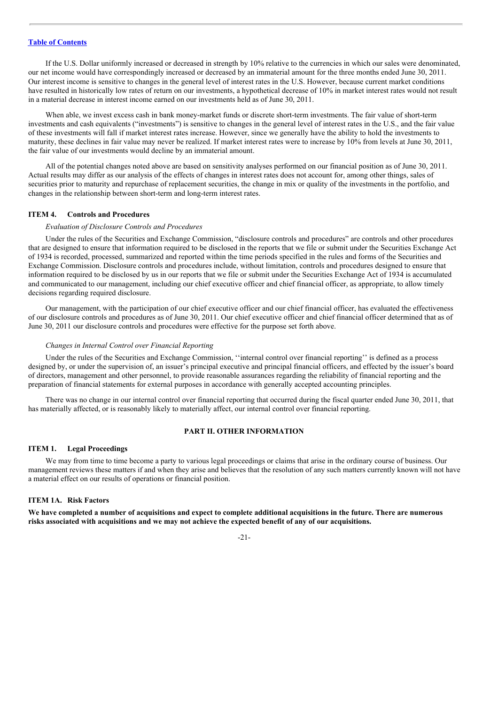If the U.S. Dollar uniformly increased or decreased in strength by 10% relative to the currencies in which our sales were denominated, our net income would have correspondingly increased or decreased by an immaterial amount for the three months ended June 30, 2011. Our interest income is sensitive to changes in the general level of interest rates in the U.S. However, because current market conditions have resulted in historically low rates of return on our investments, a hypothetical decrease of 10% in market interest rates would not result in a material decrease in interest income earned on our investments held as of June 30, 2011.

When able, we invest excess cash in bank money-market funds or discrete short-term investments. The fair value of short-term investments and cash equivalents ("investments") is sensitive to changes in the general level of interest rates in the U.S., and the fair value of these investments will fall if market interest rates increase. However, since we generally have the ability to hold the investments to maturity, these declines in fair value may never be realized. If market interest rates were to increase by 10% from levels at June 30, 2011, the fair value of our investments would decline by an immaterial amount.

All of the potential changes noted above are based on sensitivity analyses performed on our financial position as of June 30, 2011. Actual results may differ as our analysis of the effects of changes in interest rates does not account for, among other things, sales of securities prior to maturity and repurchase of replacement securities, the change in mix or quality of the investments in the portfolio, and changes in the relationship between short-term and long-term interest rates.

## **ITEM 4. Controls and Procedures**

#### *Evaluation of Disclosure Controls and Procedures*

Under the rules of the Securities and Exchange Commission, "disclosure controls and procedures" are controls and other procedures that are designed to ensure that information required to be disclosed in the reports that we file or submit under the Securities Exchange Act of 1934 is recorded, processed, summarized and reported within the time periods specified in the rules and forms of the Securities and Exchange Commission. Disclosure controls and procedures include, without limitation, controls and procedures designed to ensure that information required to be disclosed by us in our reports that we file or submit under the Securities Exchange Act of 1934 is accumulated and communicated to our management, including our chief executive officer and chief financial officer, as appropriate, to allow timely decisions regarding required disclosure.

Our management, with the participation of our chief executive officer and our chief financial officer, has evaluated the effectiveness of our disclosure controls and procedures as of June 30, 2011. Our chief executive officer and chief financial officer determined that as of June 30, 2011 our disclosure controls and procedures were effective for the purpose set forth above.

#### *Changes in Internal Control over Financial Reporting*

Under the rules of the Securities and Exchange Commission, ''internal control over financial reporting'' is defined as a process designed by, or under the supervision of, an issuer's principal executive and principal financial officers, and effected by the issuer's board of directors, management and other personnel, to provide reasonable assurances regarding the reliability of financial reporting and the preparation of financial statements for external purposes in accordance with generally accepted accounting principles.

There was no change in our internal control over financial reporting that occurred during the fiscal quarter ended June 30, 2011, that has materially affected, or is reasonably likely to materially affect, our internal control over financial reporting.

## **PART II. OTHER INFORMATION**

#### **ITEM 1. Legal Proceedings**

We may from time to time become a party to various legal proceedings or claims that arise in the ordinary course of business. Our management reviews these matters if and when they arise and believes that the resolution of any such matters currently known will not have a material effect on our results of operations or financial position.

## **ITEM 1A. Risk Factors**

We have completed a number of acquisitions and expect to complete additional acquisitions in the future. There are numerous risks associated with acquisitions and we may not achieve the expected benefit of any of our acquisitions.

#### $-21-$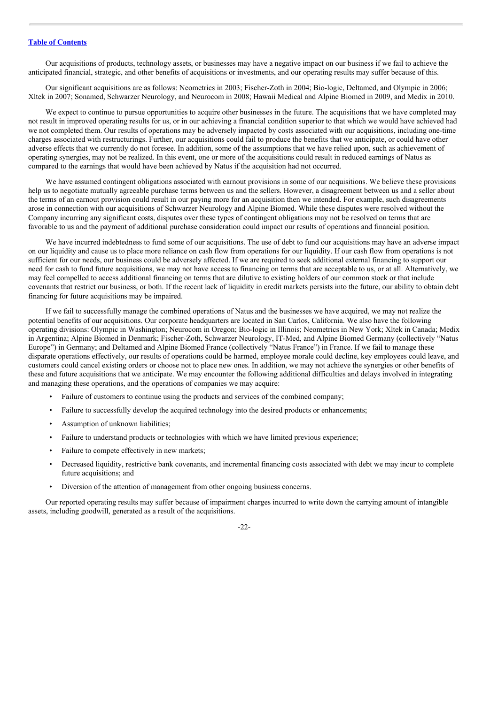Our acquisitions of products, technology assets, or businesses may have a negative impact on our business if we fail to achieve the anticipated financial, strategic, and other benefits of acquisitions or investments, and our operating results may suffer because of this.

Our significant acquisitions are as follows: Neometrics in 2003; Fischer-Zoth in 2004; Bio-logic, Deltamed, and Olympic in 2006; Xltek in 2007; Sonamed, Schwarzer Neurology, and Neurocom in 2008; Hawaii Medical and Alpine Biomed in 2009, and Medix in 2010.

We expect to continue to pursue opportunities to acquire other businesses in the future. The acquisitions that we have completed may not result in improved operating results for us, or in our achieving a financial condition superior to that which we would have achieved had we not completed them. Our results of operations may be adversely impacted by costs associated with our acquisitions, including one-time charges associated with restructurings. Further, our acquisitions could fail to produce the benefits that we anticipate, or could have other adverse effects that we currently do not foresee. In addition, some of the assumptions that we have relied upon, such as achievement of operating synergies, may not be realized. In this event, one or more of the acquisitions could result in reduced earnings of Natus as compared to the earnings that would have been achieved by Natus if the acquisition had not occurred.

We have assumed contingent obligations associated with earnout provisions in some of our acquisitions. We believe these provisions help us to negotiate mutually agreeable purchase terms between us and the sellers. However, a disagreement between us and a seller about the terms of an earnout provision could result in our paying more for an acquisition then we intended. For example, such disagreements arose in connection with our acquisitions of Schwarzer Neurology and Alpine Biomed. While these disputes were resolved without the Company incurring any significant costs, disputes over these types of contingent obligations may not be resolved on terms that are favorable to us and the payment of additional purchase consideration could impact our results of operations and financial position.

We have incurred indebtedness to fund some of our acquisitions. The use of debt to fund our acquisitions may have an adverse impact on our liquidity and cause us to place more reliance on cash flow from operations for our liquidity. If our cash flow from operations is not sufficient for our needs, our business could be adversely affected. If we are required to seek additional external financing to support our need for cash to fund future acquisitions, we may not have access to financing on terms that are acceptable to us, or at all. Alternatively, we may feel compelled to access additional financing on terms that are dilutive to existing holders of our common stock or that include covenants that restrict our business, or both. If the recent lack of liquidity in credit markets persists into the future, our ability to obtain debt financing for future acquisitions may be impaired.

If we fail to successfully manage the combined operations of Natus and the businesses we have acquired, we may not realize the potential benefits of our acquisitions. Our corporate headquarters are located in San Carlos, California. We also have the following operating divisions: Olympic in Washington; Neurocom in Oregon; Bio-logic in Illinois; Neometrics in New York; Xltek in Canada; Medix in Argentina; Alpine Biomed in Denmark; Fischer-Zoth, Schwarzer Neurology, IT-Med, and Alpine Biomed Germany (collectively "Natus Europe") in Germany; and Deltamed and Alpine Biomed France (collectively "Natus France") in France. If we fail to manage these disparate operations effectively, our results of operations could be harmed, employee morale could decline, key employees could leave, and customers could cancel existing orders or choose not to place new ones. In addition, we may not achieve the synergies or other benefits of these and future acquisitions that we anticipate. We may encounter the following additional difficulties and delays involved in integrating and managing these operations, and the operations of companies we may acquire:

- Failure of customers to continue using the products and services of the combined company;
- Failure to successfully develop the acquired technology into the desired products or enhancements;
- Assumption of unknown liabilities;
- Failure to understand products or technologies with which we have limited previous experience;
- Failure to compete effectively in new markets;
- Decreased liquidity, restrictive bank covenants, and incremental financing costs associated with debt we may incur to complete future acquisitions; and
- Diversion of the attention of management from other ongoing business concerns.

Our reported operating results may suffer because of impairment charges incurred to write down the carrying amount of intangible assets, including goodwill, generated as a result of the acquisitions.

 $-22-$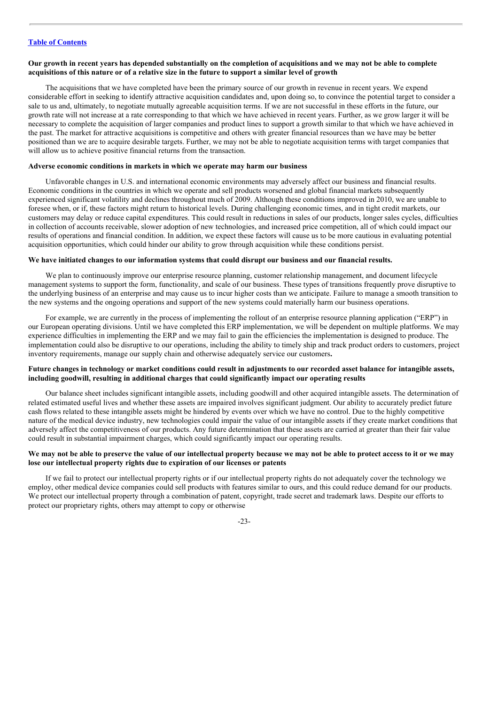## Our growth in recent vears has depended substantially on the completion of acquisitions and we may not be able to complete acquisitions of this nature or of a relative size in the future to support a similar level of growth

The acquisitions that we have completed have been the primary source of our growth in revenue in recent years. We expend considerable effort in seeking to identify attractive acquisition candidates and, upon doing so, to convince the potential target to consider a sale to us and, ultimately, to negotiate mutually agreeable acquisition terms. If we are not successful in these efforts in the future, our growth rate will not increase at a rate corresponding to that which we have achieved in recent years. Further, as we grow larger it will be necessary to complete the acquisition of larger companies and product lines to support a growth similar to that which we have achieved in the past. The market for attractive acquisitions is competitive and others with greater financial resources than we have may be better positioned than we are to acquire desirable targets. Further, we may not be able to negotiate acquisition terms with target companies that will allow us to achieve positive financial returns from the transaction.

#### **Adverse economic conditions in markets in which we operate may harm our business**

Unfavorable changes in U.S. and international economic environments may adversely affect our business and financial results. Economic conditions in the countries in which we operate and sell products worsened and global financial markets subsequently experienced significant volatility and declines throughout much of 2009. Although these conditions improved in 2010, we are unable to foresee when, or if, these factors might return to historical levels. During challenging economic times, and in tight credit markets, our customers may delay or reduce capital expenditures. This could result in reductions in sales of our products, longer sales cycles, difficulties in collection of accounts receivable, slower adoption of new technologies, and increased price competition, all of which could impact our results of operations and financial condition. In addition, we expect these factors will cause us to be more cautious in evaluating potential acquisition opportunities, which could hinder our ability to grow through acquisition while these conditions persist.

## We have initiated changes to our information systems that could disrupt our business and our financial results.

We plan to continuously improve our enterprise resource planning, customer relationship management, and document lifecycle management systems to support the form, functionality, and scale of our business. These types of transitions frequently prove disruptive to the underlying business of an enterprise and may cause us to incur higher costs than we anticipate. Failure to manage a smooth transition to the new systems and the ongoing operations and support of the new systems could materially harm our business operations.

For example, we are currently in the process of implementing the rollout of an enterprise resource planning application ("ERP") in our European operating divisions. Until we have completed this ERP implementation, we will be dependent on multiple platforms. We may experience difficulties in implementing the ERP and we may fail to gain the efficiencies the implementation is designed to produce. The implementation could also be disruptive to our operations, including the ability to timely ship and track product orders to customers, project inventory requirements, manage our supply chain and otherwise adequately service our customers**.**

## Future changes in technology or market conditions could result in adjustments to our recorded asset balance for intangible assets, **including goodwill, resulting in additional charges that could significantly impact our operating results**

Our balance sheet includes significant intangible assets, including goodwill and other acquired intangible assets. The determination of related estimated useful lives and whether these assets are impaired involves significant judgment. Our ability to accurately predict future cash flows related to these intangible assets might be hindered by events over which we have no control. Due to the highly competitive nature of the medical device industry, new technologies could impair the value of our intangible assets if they create market conditions that adversely affect the competitiveness of our products. Any future determination that these assets are carried at greater than their fair value could result in substantial impairment charges, which could significantly impact our operating results.

## We may not be able to preserve the value of our intellectual property because we may not be able to protect access to it or we may **lose our intellectual property rights due to expiration of our licenses or patents**

If we fail to protect our intellectual property rights or if our intellectual property rights do not adequately cover the technology we employ, other medical device companies could sell products with features similar to ours, and this could reduce demand for our products. We protect our intellectual property through a combination of patent, copyright, trade secret and trademark laws. Despite our efforts to protect our proprietary rights, others may attempt to copy or otherwise

-23-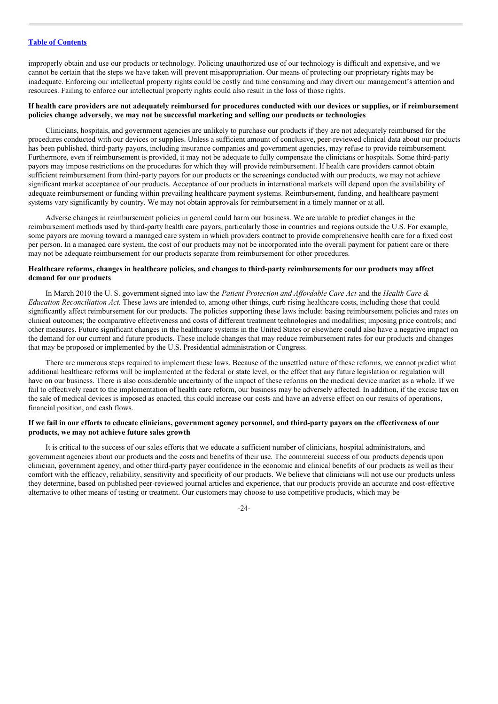improperly obtain and use our products or technology. Policing unauthorized use of our technology is difficult and expensive, and we cannot be certain that the steps we have taken will prevent misappropriation. Our means of protecting our proprietary rights may be inadequate. Enforcing our intellectual property rights could be costly and time consuming and may divert our management's attention and resources. Failing to enforce our intellectual property rights could also result in the loss of those rights.

## If health care providers are not adequately reimbursed for procedures conducted with our devices or supplies, or if reimbursement **policies change adversely, we may not be successful marketing and selling our products or technologies**

Clinicians, hospitals, and government agencies are unlikely to purchase our products if they are not adequately reimbursed for the procedures conducted with our devices or supplies. Unless a sufficient amount of conclusive, peer-reviewed clinical data about our products has been published, third-party payors, including insurance companies and government agencies, may refuse to provide reimbursement. Furthermore, even if reimbursement is provided, it may not be adequate to fully compensate the clinicians or hospitals. Some third-party payors may impose restrictions on the procedures for which they will provide reimbursement. If health care providers cannot obtain sufficient reimbursement from third-party payors for our products or the screenings conducted with our products, we may not achieve significant market acceptance of our products. Acceptance of our products in international markets will depend upon the availability of adequate reimbursement or funding within prevailing healthcare payment systems. Reimbursement, funding, and healthcare payment systems vary significantly by country. We may not obtain approvals for reimbursement in a timely manner or at all.

Adverse changes in reimbursement policies in general could harm our business. We are unable to predict changes in the reimbursement methods used by third-party health care payors, particularly those in countries and regions outside the U.S. For example, some payors are moving toward a managed care system in which providers contract to provide comprehensive health care for a fixed cost per person. In a managed care system, the cost of our products may not be incorporated into the overall payment for patient care or there may not be adequate reimbursement for our products separate from reimbursement for other procedures.

## Healthcare reforms, changes in healthcare policies, and changes to third-party reimbursements for our products may affect **demand for our products**

In March 2010 the U. S. government signed into law the *Patient Protection and Affordable Care Act* and the *Health Care & Education Reconciliation Act*. These laws are intended to, among other things, curb rising healthcare costs, including those that could significantly affect reimbursement for our products. The policies supporting these laws include: basing reimbursement policies and rates on clinical outcomes; the comparative effectiveness and costs of different treatment technologies and modalities; imposing price controls; and other measures. Future significant changes in the healthcare systems in the United States or elsewhere could also have a negative impact on the demand for our current and future products. These include changes that may reduce reimbursement rates for our products and changes that may be proposed or implemented by the U.S. Presidential administration or Congress.

There are numerous steps required to implement these laws. Because of the unsettled nature of these reforms, we cannot predict what additional healthcare reforms will be implemented at the federal or state level, or the effect that any future legislation or regulation will have on our business. There is also considerable uncertainty of the impact of these reforms on the medical device market as a whole. If we fail to effectively react to the implementation of health care reform, our business may be adversely affected. In addition, if the excise tax on the sale of medical devices is imposed as enacted, this could increase our costs and have an adverse effect on our results of operations, financial position, and cash flows.

## If we fail in our efforts to educate clinicians, government agency personnel, and third-party payors on the effectiveness of our **products, we may not achieve future sales growth**

It is critical to the success of our sales efforts that we educate a sufficient number of clinicians, hospital administrators, and government agencies about our products and the costs and benefits of their use. The commercial success of our products depends upon clinician, government agency, and other third-party payer confidence in the economic and clinical benefits of our products as well as their comfort with the efficacy, reliability, sensitivity and specificity of our products. We believe that clinicians will not use our products unless they determine, based on published peer-reviewed journal articles and experience, that our products provide an accurate and cost-effective alternative to other means of testing or treatment. Our customers may choose to use competitive products, which may be

#### $-24-$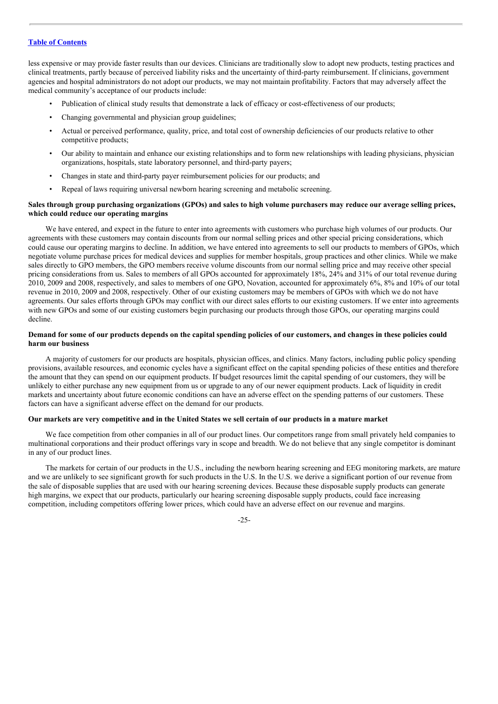less expensive or may provide faster results than our devices. Clinicians are traditionally slow to adopt new products, testing practices and clinical treatments, partly because of perceived liability risks and the uncertainty of third-party reimbursement. If clinicians, government agencies and hospital administrators do not adopt our products, we may not maintain profitability. Factors that may adversely affect the medical community's acceptance of our products include:

- Publication of clinical study results that demonstrate a lack of efficacy or cost-effectiveness of our products;
- Changing governmental and physician group guidelines:
- Actual or perceived performance, quality, price, and total cost of ownership deficiencies of our products relative to other competitive products;
- Our ability to maintain and enhance our existing relationships and to form new relationships with leading physicians, physician organizations, hospitals, state laboratory personnel, and third-party payers;
- Changes in state and third-party payer reimbursement policies for our products; and
- Repeal of laws requiring universal newborn hearing screening and metabolic screening.

## Sales through group purchasing organizations (GPOs) and sales to high volume purchasers may reduce our average selling prices, **which could reduce our operating margins**

We have entered, and expect in the future to enter into agreements with customers who purchase high volumes of our products. Our agreements with these customers may contain discounts from our normal selling prices and other special pricing considerations, which could cause our operating margins to decline. In addition, we have entered into agreements to sell our products to members of GPOs, which negotiate volume purchase prices for medical devices and supplies for member hospitals, group practices and other clinics. While we make sales directly to GPO members, the GPO members receive volume discounts from our normal selling price and may receive other special pricing considerations from us. Sales to members of all GPOs accounted for approximately 18%, 24% and 31% of our total revenue during 2010, 2009 and 2008, respectively, and sales to members of one GPO, Novation, accounted for approximately 6%, 8% and 10% of our total revenue in 2010, 2009 and 2008, respectively. Other of our existing customers may be members of GPOs with which we do not have agreements. Our sales efforts through GPOs may conflict with our direct sales efforts to our existing customers. If we enter into agreements with new GPOs and some of our existing customers begin purchasing our products through those GPOs, our operating margins could decline.

## Demand for some of our products depends on the capital spending policies of our customers, and changes in these policies could **harm our business**

A majority of customers for our products are hospitals, physician offices, and clinics. Many factors, including public policy spending provisions, available resources, and economic cycles have a significant effect on the capital spending policies of these entities and therefore the amount that they can spend on our equipment products. If budget resources limit the capital spending of our customers, they will be unlikely to either purchase any new equipment from us or upgrade to any of our newer equipment products. Lack of liquidity in credit markets and uncertainty about future economic conditions can have an adverse effect on the spending patterns of our customers. These factors can have a significant adverse effect on the demand for our products.

#### Our markets are very competitive and in the United States we sell certain of our products in a mature market

We face competition from other companies in all of our product lines. Our competitors range from small privately held companies to multinational corporations and their product offerings vary in scope and breadth. We do not believe that any single competitor is dominant in any of our product lines.

The markets for certain of our products in the U.S., including the newborn hearing screening and EEG monitoring markets, are mature and we are unlikely to see significant growth for such products in the U.S. In the U.S. we derive a significant portion of our revenue from the sale of disposable supplies that are used with our hearing screening devices. Because these disposable supply products can generate high margins, we expect that our products, particularly our hearing screening disposable supply products, could face increasing competition, including competitors offering lower prices, which could have an adverse effect on our revenue and margins.

## $-25-$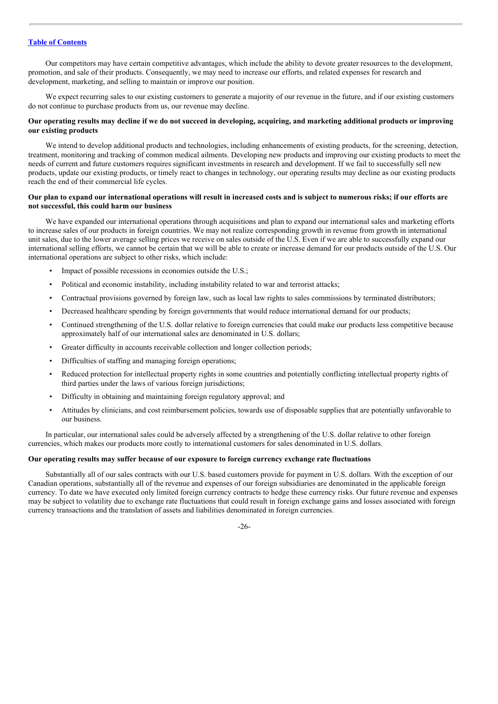Our competitors may have certain competitive advantages, which include the ability to devote greater resources to the development, promotion, and sale of their products. Consequently, we may need to increase our efforts, and related expenses for research and development, marketing, and selling to maintain or improve our position.

We expect recurring sales to our existing customers to generate a majority of our revenue in the future, and if our existing customers do not continue to purchase products from us, our revenue may decline.

## Our operating results may decline if we do not succeed in developing, acquiring, and marketing additional products or improving **our existing products**

We intend to develop additional products and technologies, including enhancements of existing products, for the screening, detection, treatment, monitoring and tracking of common medical ailments. Developing new products and improving our existing products to meet the needs of current and future customers requires significant investments in research and development. If we fail to successfully sell new products, update our existing products, or timely react to changes in technology, our operating results may decline as our existing products reach the end of their commercial life cycles.

## Our plan to expand our international operations will result in increased costs and is subject to numerous risks; if our efforts are **not successful, this could harm our business**

We have expanded our international operations through acquisitions and plan to expand our international sales and marketing efforts to increase sales of our products in foreign countries. We may not realize corresponding growth in revenue from growth in international unit sales, due to the lower average selling prices we receive on sales outside of the U.S. Even if we are able to successfully expand our international selling efforts, we cannot be certain that we will be able to create or increase demand for our products outside of the U.S. Our international operations are subject to other risks, which include:

- Impact of possible recessions in economies outside the U.S.;
- Political and economic instability, including instability related to war and terrorist attacks;
- Contractual provisions governed by foreign law, such as local law rights to sales commissions by terminated distributors;
- Decreased healthcare spending by foreign governments that would reduce international demand for our products;
- Continued strengthening of the U.S. dollar relative to foreign currencies that could make our products less competitive because approximately half of our international sales are denominated in U.S. dollars;
- Greater difficulty in accounts receivable collection and longer collection periods;
- Difficulties of staffing and managing foreign operations;
- Reduced protection for intellectual property rights in some countries and potentially conflicting intellectual property rights of third parties under the laws of various foreign jurisdictions;
- Difficulty in obtaining and maintaining foreign regulatory approval; and
- Attitudes by clinicians, and cost reimbursement policies, towards use of disposable supplies that are potentially unfavorable to our business.

In particular, our international sales could be adversely affected by a strengthening of the U.S. dollar relative to other foreign currencies, which makes our products more costly to international customers for sales denominated in U.S. dollars.

#### **Our operating results may suffer because of our exposure to foreign currency exchange rate fluctuations**

Substantially all of our sales contracts with our U.S. based customers provide for payment in U.S. dollars. With the exception of our Canadian operations, substantially all of the revenue and expenses of our foreign subsidiaries are denominated in the applicable foreign currency. To date we have executed only limited foreign currency contracts to hedge these currency risks. Our future revenue and expenses may be subject to volatility due to exchange rate fluctuations that could result in foreign exchange gains and losses associated with foreign currency transactions and the translation of assets and liabilities denominated in foreign currencies.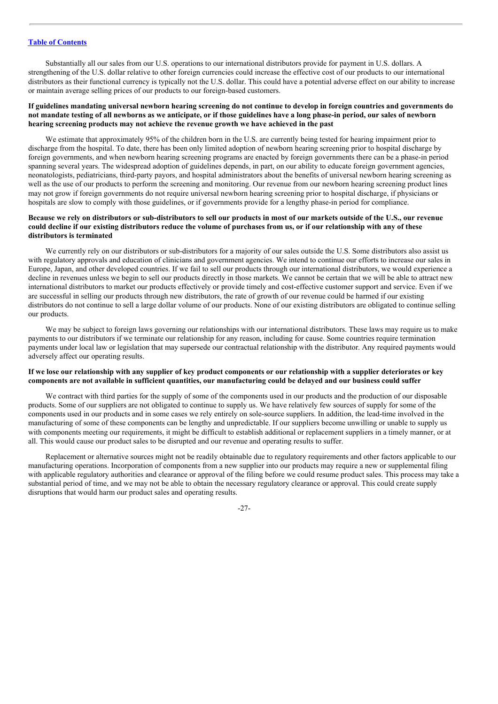Substantially all our sales from our U.S. operations to our international distributors provide for payment in U.S. dollars. A strengthening of the U.S. dollar relative to other foreign currencies could increase the effective cost of our products to our international distributors as their functional currency is typically not the U.S. dollar. This could have a potential adverse effect on our ability to increase or maintain average selling prices of our products to our foreign-based customers.

## If guidelines mandating universal newborn hearing screening do not continue to develop in foreign countries and governments do not mandate testing of all newborns as we anticipate, or if those guidelines have a long phase-in period, our sales of newborn **hearing screening products may not achieve the revenue growth we have achieved in the past**

We estimate that approximately 95% of the children born in the U.S. are currently being tested for hearing impairment prior to discharge from the hospital. To date, there has been only limited adoption of newborn hearing screening prior to hospital discharge by foreign governments, and when newborn hearing screening programs are enacted by foreign governments there can be a phase-in period spanning several years. The widespread adoption of guidelines depends, in part, on our ability to educate foreign government agencies, neonatologists, pediatricians, third-party payors, and hospital administrators about the benefits of universal newborn hearing screening as well as the use of our products to perform the screening and monitoring. Our revenue from our newborn hearing screening product lines may not grow if foreign governments do not require universal newborn hearing screening prior to hospital discharge, if physicians or hospitals are slow to comply with those guidelines, or if governments provide for a lengthy phase-in period for compliance.

## Because we rely on distributors or sub-distributors to sell our products in most of our markets outside of the U.S., our revenue could decline if our existing distributors reduce the volume of purchases from us, or if our relationship with any of these **distributors is terminated**

We currently rely on our distributors or sub-distributors for a majority of our sales outside the U.S. Some distributors also assist us with regulatory approvals and education of clinicians and government agencies. We intend to continue our efforts to increase our sales in Europe, Japan, and other developed countries. If we fail to sell our products through our international distributors, we would experience a decline in revenues unless we begin to sell our products directly in those markets. We cannot be certain that we will be able to attract new international distributors to market our products effectively or provide timely and cost-effective customer support and service. Even if we are successful in selling our products through new distributors, the rate of growth of our revenue could be harmed if our existing distributors do not continue to sell a large dollar volume of our products. None of our existing distributors are obligated to continue selling our products.

We may be subject to foreign laws governing our relationships with our international distributors. These laws may require us to make payments to our distributors if we terminate our relationship for any reason, including for cause. Some countries require termination payments under local law or legislation that may supersede our contractual relationship with the distributor. Any required payments would adversely affect our operating results.

## If we lose our relationship with any supplier of key product components or our relationship with a supplier deteriorates or key components are not available in sufficient quantities, our manufacturing could be delayed and our business could suffer

We contract with third parties for the supply of some of the components used in our products and the production of our disposable products. Some of our suppliers are not obligated to continue to supply us. We have relatively few sources of supply for some of the components used in our products and in some cases we rely entirely on sole-source suppliers. In addition, the lead-time involved in the manufacturing of some of these components can be lengthy and unpredictable. If our suppliers become unwilling or unable to supply us with components meeting our requirements, it might be difficult to establish additional or replacement suppliers in a timely manner, or at all. This would cause our product sales to be disrupted and our revenue and operating results to suffer.

Replacement or alternative sources might not be readily obtainable due to regulatory requirements and other factors applicable to our manufacturing operations. Incorporation of components from a new supplier into our products may require a new or supplemental filing with applicable regulatory authorities and clearance or approval of the filing before we could resume product sales. This process may take a substantial period of time, and we may not be able to obtain the necessary regulatory clearance or approval. This could create supply disruptions that would harm our product sales and operating results.

## -27-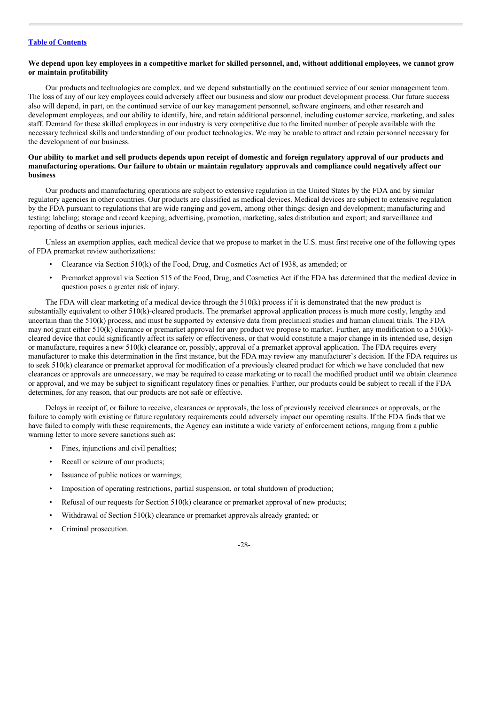## We depend upon key employees in a competitive market for skilled personnel, and, without additional employees, we cannot grow **or maintain profitability**

Our products and technologies are complex, and we depend substantially on the continued service of our senior management team. The loss of any of our key employees could adversely affect our business and slow our product development process. Our future success also will depend, in part, on the continued service of our key management personnel, software engineers, and other research and development employees, and our ability to identify, hire, and retain additional personnel, including customer service, marketing, and sales staff. Demand for these skilled employees in our industry is very competitive due to the limited number of people available with the necessary technical skills and understanding of our product technologies. We may be unable to attract and retain personnel necessary for the development of our business.

## Our ability to market and sell products depends upon receipt of domestic and foreign regulatory approval of our products and manufacturing operations. Our failure to obtain or maintain regulatory approvals and compliance could negatively affect our **business**

Our products and manufacturing operations are subject to extensive regulation in the United States by the FDA and by similar regulatory agencies in other countries. Our products are classified as medical devices. Medical devices are subject to extensive regulation by the FDA pursuant to regulations that are wide ranging and govern, among other things: design and development; manufacturing and testing; labeling; storage and record keeping; advertising, promotion, marketing, sales distribution and export; and surveillance and reporting of deaths or serious injuries.

Unless an exemption applies, each medical device that we propose to market in the U.S. must first receive one of the following types of FDA premarket review authorizations:

- Clearance via Section 510(k) of the Food, Drug, and Cosmetics Act of 1938, as amended; or
- Premarket approval via Section 515 of the Food, Drug, and Cosmetics Act if the FDA has determined that the medical device in question poses a greater risk of injury.

The FDA will clear marketing of a medical device through the  $510(k)$  process if it is demonstrated that the new product is substantially equivalent to other 510(k)-cleared products. The premarket approval application process is much more costly, lengthy and uncertain than the 510(k) process, and must be supported by extensive data from preclinical studies and human clinical trials. The FDA may not grant either 510(k) clearance or premarket approval for any product we propose to market. Further, any modification to a 510(k) cleared device that could significantly affect its safety or effectiveness, or that would constitute a major change in its intended use, design or manufacture, requires a new 510(k) clearance or, possibly, approval of a premarket approval application. The FDA requires every manufacturer to make this determination in the first instance, but the FDA may review any manufacturer's decision. If the FDA requires us to seek 510(k) clearance or premarket approval for modification of a previously cleared product for which we have concluded that new clearances or approvals are unnecessary, we may be required to cease marketing or to recall the modified product until we obtain clearance or approval, and we may be subject to significant regulatory fines or penalties. Further, our products could be subject to recall if the FDA determines, for any reason, that our products are not safe or effective.

Delays in receipt of, or failure to receive, clearances or approvals, the loss of previously received clearances or approvals, or the failure to comply with existing or future regulatory requirements could adversely impact our operating results. If the FDA finds that we have failed to comply with these requirements, the Agency can institute a wide variety of enforcement actions, ranging from a public warning letter to more severe sanctions such as:

- Fines, injunctions and civil penalties;
- Recall or seizure of our products;
- Issuance of public notices or warnings;
- Imposition of operating restrictions, partial suspension, or total shutdown of production;
- Refusal of our requests for Section  $510(k)$  clearance or premarket approval of new products;
- Withdrawal of Section 510(k) clearance or premarket approvals already granted; or
- Criminal prosecution.

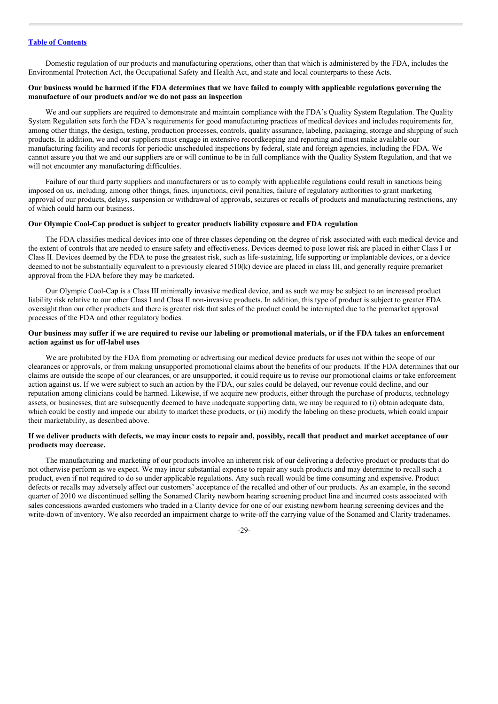Domestic regulation of our products and manufacturing operations, other than that which is administered by the FDA, includes the Environmental Protection Act, the Occupational Safety and Health Act, and state and local counterparts to these Acts.

## Our business would be harmed if the FDA determines that we have failed to comply with applicable regulations governing the **manufacture of our products and/or we do not pass an inspection**

We and our suppliers are required to demonstrate and maintain compliance with the FDA's Quality System Regulation. The Quality System Regulation sets forth the FDA's requirements for good manufacturing practices of medical devices and includes requirements for, among other things, the design, testing, production processes, controls, quality assurance, labeling, packaging, storage and shipping of such products. In addition, we and our suppliers must engage in extensive recordkeeping and reporting and must make available our manufacturing facility and records for periodic unscheduled inspections by federal, state and foreign agencies, including the FDA. We cannot assure you that we and our suppliers are or will continue to be in full compliance with the Quality System Regulation, and that we will not encounter any manufacturing difficulties.

Failure of our third party suppliers and manufacturers or us to comply with applicable regulations could result in sanctions being imposed on us, including, among other things, fines, injunctions, civil penalties, failure of regulatory authorities to grant marketing approval of our products, delays, suspension or withdrawal of approvals, seizures or recalls of products and manufacturing restrictions, any of which could harm our business.

## **Our Olympic Cool-Cap product is subject to greater products liability exposure and FDA regulation**

The FDA classifies medical devices into one of three classes depending on the degree of risk associated with each medical device and the extent of controls that are needed to ensure safety and effectiveness. Devices deemed to pose lower risk are placed in either Class I or Class II. Devices deemed by the FDA to pose the greatest risk, such as life-sustaining, life supporting or implantable devices, or a device deemed to not be substantially equivalent to a previously cleared 510(k) device are placed in class III, and generally require premarket approval from the FDA before they may be marketed.

Our Olympic Cool-Cap is a Class III minimally invasive medical device, and as such we may be subject to an increased product liability risk relative to our other Class I and Class II non-invasive products. In addition, this type of product is subject to greater FDA oversight than our other products and there is greater risk that sales of the product could be interrupted due to the premarket approval processes of the FDA and other regulatory bodies.

#### Our business may suffer if we are required to revise our labeling or promotional materials, or if the FDA takes an enforcement **action against us for off-label uses**

We are prohibited by the FDA from promoting or advertising our medical device products for uses not within the scope of our clearances or approvals, or from making unsupported promotional claims about the benefits of our products. If the FDA determines that our claims are outside the scope of our clearances, or are unsupported, it could require us to revise our promotional claims or take enforcement action against us. If we were subject to such an action by the FDA, our sales could be delayed, our revenue could decline, and our reputation among clinicians could be harmed. Likewise, if we acquire new products, either through the purchase of products, technology assets, or businesses, that are subsequently deemed to have inadequate supporting data, we may be required to (i) obtain adequate data, which could be costly and impede our ability to market these products, or (ii) modify the labeling on these products, which could impair their marketability, as described above.

## If we deliver products with defects, we may incur costs to repair and, possibly, recall that product and market acceptance of our **products may decrease.**

The manufacturing and marketing of our products involve an inherent risk of our delivering a defective product or products that do not otherwise perform as we expect. We may incur substantial expense to repair any such products and may determine to recall such a product, even if not required to do so under applicable regulations. Any such recall would be time consuming and expensive. Product defects or recalls may adversely affect our customers' acceptance of the recalled and other of our products. As an example, in the second quarter of 2010 we discontinued selling the Sonamed Clarity newborn hearing screening product line and incurred costs associated with sales concessions awarded customers who traded in a Clarity device for one of our existing newborn hearing screening devices and the write-down of inventory. We also recorded an impairment charge to write-off the carrying value of the Sonamed and Clarity tradenames.

-29-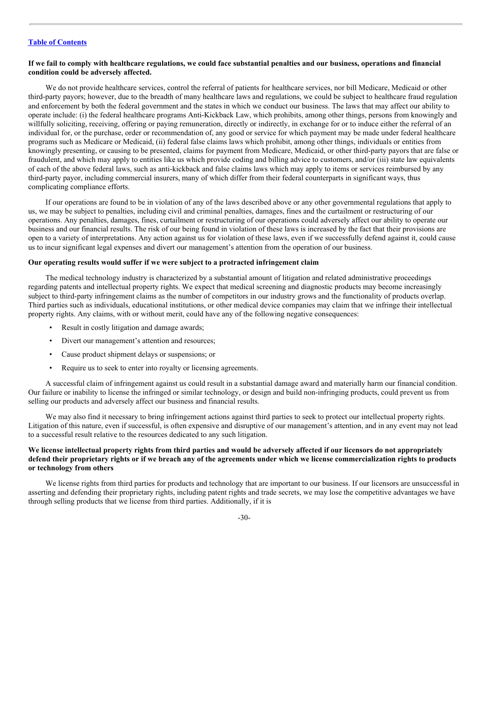## If we fail to comply with healthcare regulations, we could face substantial penalties and our business, operations and financial **condition could be adversely affected.**

We do not provide healthcare services, control the referral of patients for healthcare services, nor bill Medicare, Medicaid or other third-party payors; however, due to the breadth of many healthcare laws and regulations, we could be subject to healthcare fraud regulation and enforcement by both the federal government and the states in which we conduct our business. The laws that may affect our ability to operate include: (i) the federal healthcare programs Anti-Kickback Law, which prohibits, among other things, persons from knowingly and willfully soliciting, receiving, offering or paying remuneration, directly or indirectly, in exchange for or to induce either the referral of an individual for, or the purchase, order or recommendation of, any good or service for which payment may be made under federal healthcare programs such as Medicare or Medicaid, (ii) federal false claims laws which prohibit, among other things, individuals or entities from knowingly presenting, or causing to be presented, claims for payment from Medicare, Medicaid, or other third-party payors that are false or fraudulent, and which may apply to entities like us which provide coding and billing advice to customers, and/or (iii) state law equivalents of each of the above federal laws, such as anti-kickback and false claims laws which may apply to items or services reimbursed by any third-party payor, including commercial insurers, many of which differ from their federal counterparts in significant ways, thus complicating compliance efforts.

If our operations are found to be in violation of any of the laws described above or any other governmental regulations that apply to us, we may be subject to penalties, including civil and criminal penalties, damages, fines and the curtailment or restructuring of our operations. Any penalties, damages, fines, curtailment or restructuring of our operations could adversely affect our ability to operate our business and our financial results. The risk of our being found in violation of these laws is increased by the fact that their provisions are open to a variety of interpretations. Any action against us for violation of these laws, even if we successfully defend against it, could cause us to incur significant legal expenses and divert our management's attention from the operation of our business.

## **Our operating results would suffer if we were subject to a protracted infringement claim**

The medical technology industry is characterized by a substantial amount of litigation and related administrative proceedings regarding patents and intellectual property rights. We expect that medical screening and diagnostic products may become increasingly subject to third-party infringement claims as the number of competitors in our industry grows and the functionality of products overlap. Third parties such as individuals, educational institutions, or other medical device companies may claim that we infringe their intellectual property rights. Any claims, with or without merit, could have any of the following negative consequences:

- Result in costly litigation and damage awards;
- Divert our management's attention and resources;
- Cause product shipment delays or suspensions; or
- Require us to seek to enter into royalty or licensing agreements.

A successful claim of infringement against us could result in a substantial damage award and materially harm our financial condition. Our failure or inability to license the infringed or similar technology, or design and build non-infringing products, could prevent us from selling our products and adversely affect our business and financial results.

We may also find it necessary to bring infringement actions against third parties to seek to protect our intellectual property rights. Litigation of this nature, even if successful, is often expensive and disruptive of our management's attention, and in any event may not lead to a successful result relative to the resources dedicated to any such litigation.

## We license intellectual property rights from third parties and would be adversely affected if our licensors do not appropriately defend their proprietary rights or if we breach any of the agreements under which we license commercialization rights to products **or technology from others**

We license rights from third parties for products and technology that are important to our business. If our licensors are unsuccessful in asserting and defending their proprietary rights, including patent rights and trade secrets, we may lose the competitive advantages we have through selling products that we license from third parties. Additionally, if it is

## -30-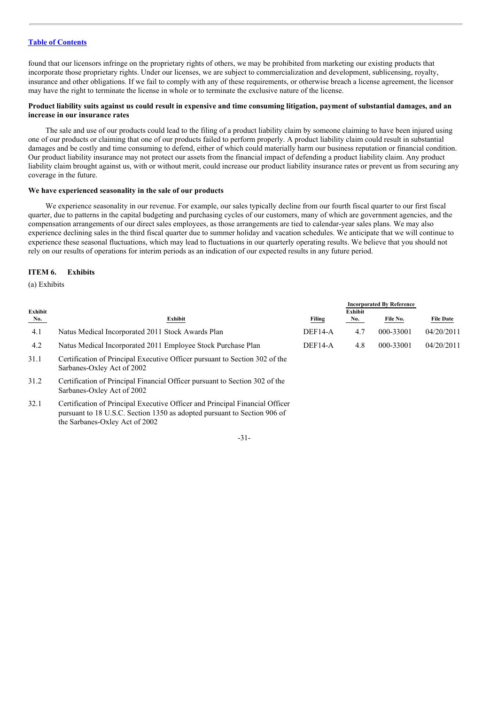found that our licensors infringe on the proprietary rights of others, we may be prohibited from marketing our existing products that incorporate those proprietary rights. Under our licenses, we are subject to commercialization and development, sublicensing, royalty, insurance and other obligations. If we fail to comply with any of these requirements, or otherwise breach a license agreement, the licensor may have the right to terminate the license in whole or to terminate the exclusive nature of the license.

## Product liability suits against us could result in expensive and time consuming litigation, payment of substantial damages, and an **increase in our insurance rates**

The sale and use of our products could lead to the filing of a product liability claim by someone claiming to have been injured using one of our products or claiming that one of our products failed to perform properly. A product liability claim could result in substantial damages and be costly and time consuming to defend, either of which could materially harm our business reputation or financial condition. Our product liability insurance may not protect our assets from the financial impact of defending a product liability claim. Any product liability claim brought against us, with or without merit, could increase our product liability insurance rates or prevent us from securing any coverage in the future.

#### **We have experienced seasonality in the sale of our products**

We experience seasonality in our revenue. For example, our sales typically decline from our fourth fiscal quarter to our first fiscal quarter, due to patterns in the capital budgeting and purchasing cycles of our customers, many of which are government agencies, and the compensation arrangements of our direct sales employees, as those arrangements are tied to calendar-year sales plans. We may also experience declining sales in the third fiscal quarter due to summer holiday and vacation schedules. We anticipate that we will continue to experience these seasonal fluctuations, which may lead to fluctuations in our quarterly operating results. We believe that you should not rely on our results of operations for interim periods as an indication of our expected results in any future period.

#### **ITEM 6. Exhibits**

(a) Exhibits

|                      |                                                              |                      |                       | <b>Incorporated By Reference</b> |                  |
|----------------------|--------------------------------------------------------------|----------------------|-----------------------|----------------------------------|------------------|
| Exhibit<br>No.       | Exhibit                                                      | <b>Filing</b>        | Exhibit<br><b>No.</b> | File No.                         | <b>File Date</b> |
| 4.1                  | Natus Medical Incorporated 2011 Stock Awards Plan            | DEF <sub>14</sub> -A | 4.7                   | 000-33001                        | 04/20/2011       |
| 4.2                  | Natus Medical Incorporated 2011 Employee Stock Purchase Plan | DEF <sub>14</sub> -A | 4.8                   | 000-33001                        | 04/20/2011       |
| $\sim$ $\sim$ $\sim$ | $\sim$ $\sim$ $\sim$<br>$\cdots$ $\sim$ $\cdots$             |                      |                       |                                  |                  |

31.1 Certification of Principal Executive Officer pursuant to Section 302 of the Sarbanes-Oxley Act of 2002

- 31.2 Certification of Principal Financial Officer pursuant to Section 302 of the Sarbanes-Oxley Act of 2002
- 32.1 Certification of Principal Executive Officer and Principal Financial Officer pursuant to 18 U.S.C. Section 1350 as adopted pursuant to Section 906 of the Sarbanes-Oxley Act of 2002

## -31-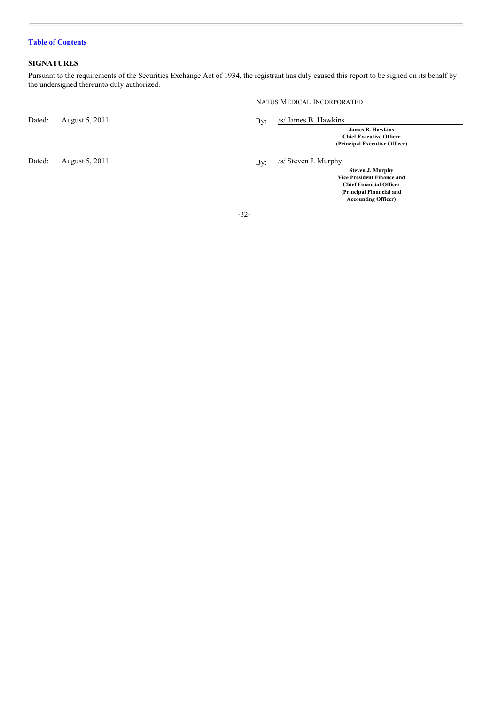# **SIGNATURES**

Pursuant to the requirements of the Securities Exchange Act of 1934, the registrant has duly caused this report to be signed on its behalf by the undersigned thereunto duly authorized.

Dated: August 5, 2011 By:

NATUS MEDICAL INCORPORATED

/s/ James B. Hawkins

**James B. Hawkins Chief Executive Officer (Principal Executive Officer)**

Dated: August 5, 2011 By:

/s/ Steven J. Murphy

**Steven J. Murphy Vice President Finance and Chief Financial Officer (Principal Financial and Accounting Officer)**

-32-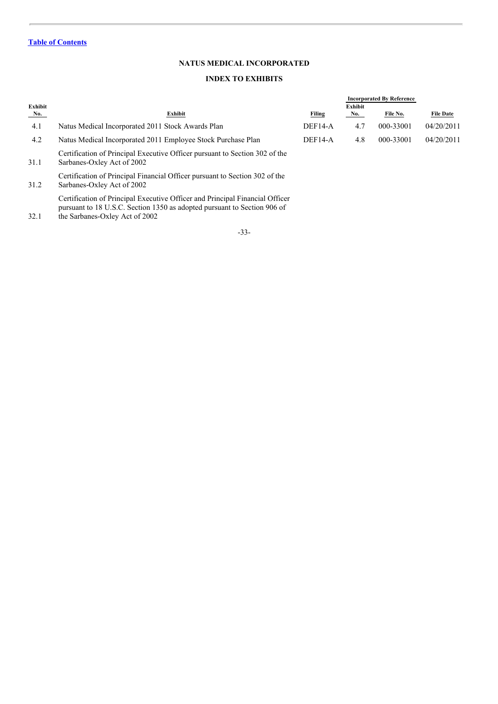# **NATUS MEDICAL INCORPORATED**

# **INDEX TO EXHIBITS**

|                       |                                                                                                           |               |                | <b>Incorporated By Reference</b> |                  |
|-----------------------|-----------------------------------------------------------------------------------------------------------|---------------|----------------|----------------------------------|------------------|
| Exhibit<br><b>No.</b> | Exhibit                                                                                                   | <b>Filing</b> | Exhibit<br>No. | File No.                         | <b>File Date</b> |
| 4.1                   | Natus Medical Incorporated 2011 Stock Awards Plan                                                         | $DEF14-A$     | 4.7            | 000-33001                        | 04/20/2011       |
| 4.2                   | Natus Medical Incorporated 2011 Employee Stock Purchase Plan                                              | $DEF14-A$     | 4.8            | 000-33001                        | 04/20/2011       |
| 31.1                  | Certification of Principal Executive Officer pursuant to Section 302 of the<br>Sarbanes-Oxley Act of 2002 |               |                |                                  |                  |

31.2 Certification of Principal Financial Officer pursuant to Section 302 of the Sarbanes-Oxley Act of 2002

32.1 Certification of Principal Executive Officer and Principal Financial Officer pursuant to 18 U.S.C. Section 1350 as adopted pursuant to Section 906 of the Sarbanes-Oxley Act of 2002

-33-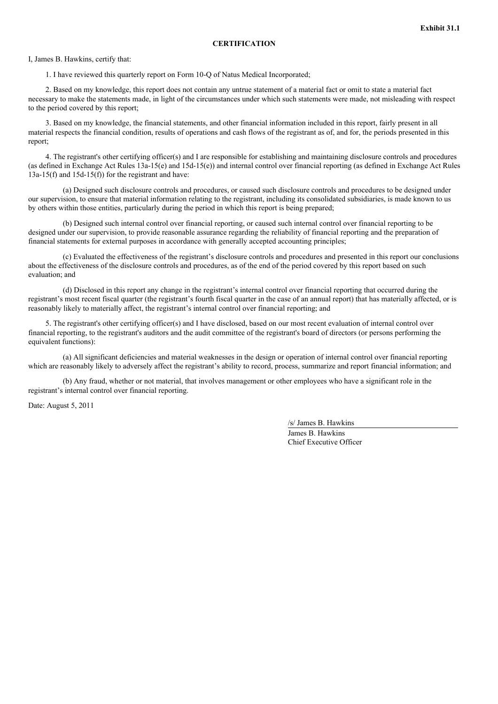## **CERTIFICATION**

## I, James B. Hawkins, certify that:

1. I have reviewed this quarterly report on Form 10-Q of Natus Medical Incorporated;

2. Based on my knowledge, this report does not contain any untrue statement of a material fact or omit to state a material fact necessary to make the statements made, in light of the circumstances under which such statements were made, not misleading with respect to the period covered by this report;

3. Based on my knowledge, the financial statements, and other financial information included in this report, fairly present in all material respects the financial condition, results of operations and cash flows of the registrant as of, and for, the periods presented in this report;

4. The registrant's other certifying officer(s) and I are responsible for establishing and maintaining disclosure controls and procedures (as defined in Exchange Act Rules 13a-15(e) and 15d-15(e)) and internal control over financial reporting (as defined in Exchange Act Rules 13a-15(f) and 15d-15(f)) for the registrant and have:

(a) Designed such disclosure controls and procedures, or caused such disclosure controls and procedures to be designed under our supervision, to ensure that material information relating to the registrant, including its consolidated subsidiaries, is made known to us by others within those entities, particularly during the period in which this report is being prepared;

(b) Designed such internal control over financial reporting, or caused such internal control over financial reporting to be designed under our supervision, to provide reasonable assurance regarding the reliability of financial reporting and the preparation of financial statements for external purposes in accordance with generally accepted accounting principles;

(c) Evaluated the effectiveness of the registrant's disclosure controls and procedures and presented in this report our conclusions about the effectiveness of the disclosure controls and procedures, as of the end of the period covered by this report based on such evaluation; and

(d) Disclosed in this report any change in the registrant's internal control over financial reporting that occurred during the registrant's most recent fiscal quarter (the registrant's fourth fiscal quarter in the case of an annual report) that has materially affected, or is reasonably likely to materially affect, the registrant's internal control over financial reporting; and

5. The registrant's other certifying officer(s) and I have disclosed, based on our most recent evaluation of internal control over financial reporting, to the registrant's auditors and the audit committee of the registrant's board of directors (or persons performing the equivalent functions):

(a) All significant deficiencies and material weaknesses in the design or operation of internal control over financial reporting which are reasonably likely to adversely affect the registrant's ability to record, process, summarize and report financial information; and

(b) Any fraud, whether or not material, that involves management or other employees who have a significant role in the registrant's internal control over financial reporting.

Date: August 5, 2011

/s/ James B. Hawkins James B. Hawkins

Chief Executive Officer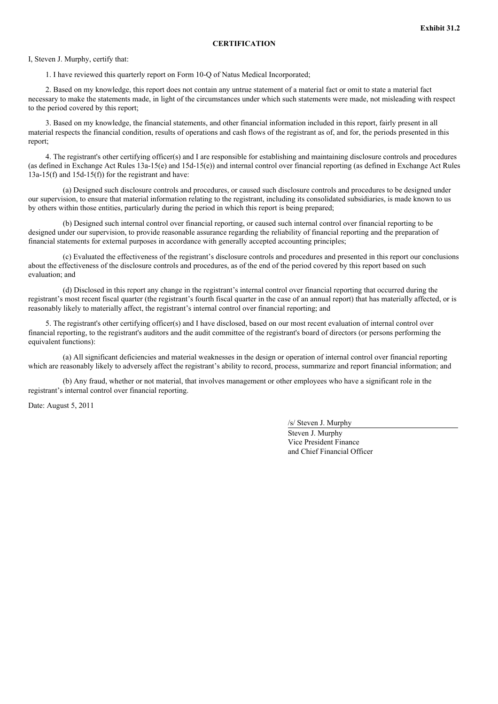# **CERTIFICATION**

## I, Steven J. Murphy, certify that:

1. I have reviewed this quarterly report on Form 10-Q of Natus Medical Incorporated;

2. Based on my knowledge, this report does not contain any untrue statement of a material fact or omit to state a material fact necessary to make the statements made, in light of the circumstances under which such statements were made, not misleading with respect to the period covered by this report;

3. Based on my knowledge, the financial statements, and other financial information included in this report, fairly present in all material respects the financial condition, results of operations and cash flows of the registrant as of, and for, the periods presented in this report;

4. The registrant's other certifying officer(s) and I are responsible for establishing and maintaining disclosure controls and procedures (as defined in Exchange Act Rules 13a-15(e) and 15d-15(e)) and internal control over financial reporting (as defined in Exchange Act Rules 13a-15(f) and 15d-15(f)) for the registrant and have:

(a) Designed such disclosure controls and procedures, or caused such disclosure controls and procedures to be designed under our supervision, to ensure that material information relating to the registrant, including its consolidated subsidiaries, is made known to us by others within those entities, particularly during the period in which this report is being prepared;

(b) Designed such internal control over financial reporting, or caused such internal control over financial reporting to be designed under our supervision, to provide reasonable assurance regarding the reliability of financial reporting and the preparation of financial statements for external purposes in accordance with generally accepted accounting principles;

(c) Evaluated the effectiveness of the registrant's disclosure controls and procedures and presented in this report our conclusions about the effectiveness of the disclosure controls and procedures, as of the end of the period covered by this report based on such evaluation; and

(d) Disclosed in this report any change in the registrant's internal control over financial reporting that occurred during the registrant's most recent fiscal quarter (the registrant's fourth fiscal quarter in the case of an annual report) that has materially affected, or is reasonably likely to materially affect, the registrant's internal control over financial reporting; and

5. The registrant's other certifying officer(s) and I have disclosed, based on our most recent evaluation of internal control over financial reporting, to the registrant's auditors and the audit committee of the registrant's board of directors (or persons performing the equivalent functions):

(a) All significant deficiencies and material weaknesses in the design or operation of internal control over financial reporting which are reasonably likely to adversely affect the registrant's ability to record, process, summarize and report financial information; and

(b) Any fraud, whether or not material, that involves management or other employees who have a significant role in the registrant's internal control over financial reporting.

Date: August 5, 2011

/s/ Steven J. Murphy

Steven J. Murphy Vice President Finance and Chief Financial Officer